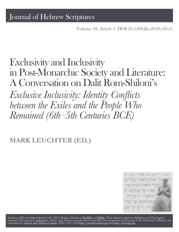Volume 18, Article 1 [DOI:10.5508/jhs.2018.v18.a1](http://dx.doi.org/10.5508/jhs.2018.v18.a1)

# Exclusivity and Inclusivity in Post-Monarchic Society and Literature: A Conversation on Dalit Rom-Shiloni's

*Exclusive Inclusivity: Identity Conficts between the Exiles and the People Who Remained (6th–5th Centuries BCE)*

## **MARK LEUCHTER (ED.)**



Articles in JHS are being [indexed](http://epe.lac-bac.gc.ca/100/201/300/journal_hebrew/index.html) in the ATLA Religion Database, [RAMBI,](http://jnul.huji.ac.il/rambi/) and [BiBIL.](http://bibil.net/) Their abstracts appear in Religious and Theological<br>Abstracts. The [journal is](http://collectionscanada.ca/electroniccollection/003008-200-e.html) <u>[archived](http://epe.lac-bac.gc.ca/100/201/300/journal_hebrew/index.html)</u> [by Library](http://collectionscanada.ca/electroniccollection/003008-200-e.html) and Archives Canada and is accessible f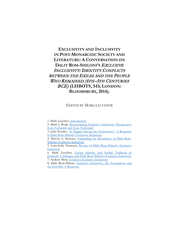### **EXCLUSIVITY AND INCLUSIVITY IN POST-MONARCHIC SOCIETY AND LITERATURE: A CONVERSATION ON**  DALIT ROM-SHILONI'S **EXCLUSIVE** INCLUSIVITY: IDENTITY CONFLICTS BETWEEN THE EXILES AND THE PEOPLE WHO REMAINED (6TH-5TH CENTURIES BCE) **(LHBOTS, 543; LONDON: BLOOMSBURY, 2014).**

### EDITED BY MARK LEUCHTER

1. Mark Leuchter, [Introduction](#page-3-0)

2. Mark J. Boda, [Reconsidering Exclusive Inclusivity: Perspectives](#page-5-0)  [from Zechariah and Ezra–Nehemiah](#page-5-0)

3. John Kessler, ["Is Haggai Among the Exclusivists?" A Response](#page-13-0)  [to Dalit Rom-Shiloni's Exclusive](#page-13-0) Inclusivity

4. Marvin A. Sweeney, [Expanding the Boundaries of Dalit Rom-](#page-37-0)[Shiloni's Exclusive Inclusivity](#page-37-0)

5. Lena-Sofia Tiemeyer, Review [of Dalit Rom-Shiloni's Exclusive](#page-43-0)  [Inclusivity](#page-43-0)

6. Mark Leuchter, [Group Identity and Scribal Tradition](#page-49-0) in [Jeremiah: A dialogue with Dalit Rom-Shiloni's Exclusive Inclusivity](#page-49-0) 7. Andrew Mein, [Ezekiel in Exclusive Inclusivity](#page-57-0)

8. Dalit Rom-Shiloni, [Exclusive Inclusivity, the Transparent and](#page-63-0) [the Invisible: A Response](#page-63-0)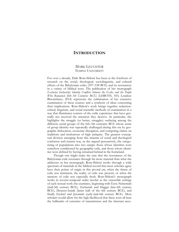### <span id="page-3-0"></span>**INTRODUCTION**

### MARK LEUCHTER TEMPLE UNIVERSITY

For over a decade, Dalit Rom-Shiloni has been at the forefront of research on the social, theological, sociolinguistic, and cultural effects of the Babylonian exiles (597–538 BCE) and its resonances in a variety of biblical texts. The publication of her monograph *Exclusive Inclusivity: Identity Conflicts between the Exiles and the People Who Remained (6th–5th Centuries BCE)* (LHBOTS, 543; London: Bloomsbury, 2014) represents the culmination of her extensive examination of these sources and a synthesis of ideas concerning their implications. Rom-Shiloni's work brings together redactioncritical, linguistic, and social-scientific methods of examination in a way that illuminates corners of the exilic experience that have generally not received the attention they deserve. In particular, she highlights the struggle (or better, struggles) surfacing among the different social groups of the 6th–5th centuries BCE whose sense of group identity was repeatedly challenged during this era by geographic dislocation, economic disruption, and competing claims on traditions and institutions of high antiquity. The greatest conceptual division emerging from this miasma of social and theological confusion and trauma was, as she argued persuasively, the categorizing of populations into two camps: those whose identities were somehow conditioned by geographic exile, and those whose identities were defined by having remained behind in the homeland.

Though one might make the case that the resonances of the Babylonian exile resonates through far more material than what she addresses in her monograph, Rom-Shiloni works through a wide spectrum of materials in the biblical record that most scholars agree have their points of origin in this pivotal era, when the threat of exile was imminent, the reality of exile was present, or when the memory of exile was especially fresh. Rom-Shiloni's monograph works in reverse-temporal order insofar as the ostensible settings of each textual work she examines, beginning with Ezra–Nehemiah (mid-5th century BCE), Zechariah and Haggai (late-6th century BCE), Deutero-Isaiah (latter half of the 6th century BCE), and finally Ezekiel and Jeremiah (early-mid-6th century BCE). Most scholars would allow for the high likelihood that these texts all bear the hallmarks of centuries of transmission and the itinerant accu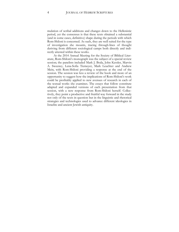mulation of scribal additions and changes down to the Hellenistic period, yet the consensus is that these texts obtained a substantial (and in some cases, definitive) shape during the periods with which Rom-Shiloni is concerned. As such, they are well suited for the type of investigation she mounts, tracing through-lines of thought deriving from different sociological camps both directly and indirectly attested within these works.

At the 2014 Annual Meeting for the Society of Biblical Literature, Rom-Shiloni's monograph was the subject of a special review session; the panelists included Mark J. Boda, John Kessler, Marvin A. Sweeney, Lena-Sofia Tiemeyer, Mark Leuchter and Andrew Mein, with Rom-Shiloni providing a response at the end of the session. The session was less a review of the book and more of an opportunity to suggest how the implications of Rom-Shiloni's work could be profitably applied to new avenues of research in each of the textual works she examines. The essays that follow constitute adapted and expanded versions of each presentation from that session, with a new response from Rom-Shiloni herself. Collectively, they point a productive and fruitful way forward in the study not only of the texts in question but in the linguistic and rhetorical strategies and technologies used to advance different ideologies in Israelite and ancient Jewish antiquity.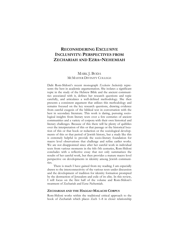### <span id="page-5-0"></span>**RECONSIDERING EXCLUSIVE INCLUSIVITY: PERSPECTIVES FROM ZECHARIAH AND EZRA–NEHEMIAH**

### MARK J. BODA MCMASTER DIVINITY COLLEGE

Dalit Rom-Shiloni's recent monograph *Exclusive Inclusivity* represents the best in academic argumentation. She isolates a significant topic in the study of the Hebrew Bible and the ancient communities associated with it, defines her research questions and topic carefully, and articulates a well-defined methodology. She then presents a consistent argument that utilizes this methodology and remains focused on the key research questions, drawing evidence from careful exegesis of the biblical text in conversation with the best in secondary literature. This work is daring, pursuing sociological insights from literary texts over a few centuries of ancient communities and a variety of corpora with their own historical and literary challenges. Because of this there will be plenty of quibbles over the interpretation of this or that passage or the historical location of this or that book or redaction or the sociological developments of this or that period of Jewish history, but a study like this is extremely helpful to provide the socio-literary foundation for macro level observations that challenge and refine earlier works. We are not disappointed since after her careful work in individual texts from various moments in the 6th–5th centuries, Rom-Shiloni concludes with a reflective essay that not only summarizes the results of her careful work, but then provides a mature macro level perspective on developments in identity among Jewish communities.

There is much I have gained from my reading; I am especially drawn to the interconnectivity of the various texts under discussion and the development of tradition for identity formation prompted by the destruction of Jerusalem and exile of its elite. In this review, I will focus on the first half of the volume and Rom-Shiloni's treatment of Zechariah and Ezra–Nehemiah.

### **ZECHARIAH AND THE HAGGAI–MALACHI CORPUS**

Rom-Shiloni works within the traditional critical approach to the book of Zechariah which places Zech 1–8 in closer relationship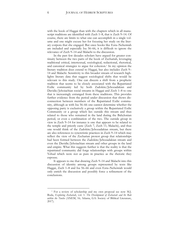with the book of Haggai than with the chapters which in all manuscript traditions are identified with Zech 1–8, that is Zech 9–14. Of course, there are limits to what one can accomplish in a single volume and one might excuse her for focusing her study on the literary corpora that she engaged. But once books like Ezra–Nehemiah are included and especially Isa 56–66, it is difficult to ignore the relevance of Zech 9–14 and Malachi to the discussion.

In the past few decades scholars have argued for greater continuity between the two parts of the book of Zechariah, leveraging traditional critical, intertextual, sociological, redactional, rhetorical, and canonical strategies to argue for cohesion.<sup>[1](#page-6-0)</sup> In my opinion the literary tradition does extend to Haggai, but also includes Zech 9– 14 and Malachi. Sensitivity to this broader stream of research highlights literary data that suggest sociological shifts that would be relevant to this study. One can discern a shift from a prophetic tradition that seems to be closely associated with the Repatriated Exilic community led by both Zadokite/Jehozadakian and Davidic/Jehoiachian social streams in Haggai and Zech 1–8 to one that is increasingly estranged from these traditions. This provides further evidence from the period under discussion that shows disconnection between members of the Repatriated Exilic community, although as with Isa 56–66 one cannot determine whether the opposing party is exclusively a group within the Repatriated Exilic Community or a group which lies outside this stream and thus related to those who remained in the land during the Babylonian period, or even a combination of the two. The outside group in view in Zech 9–14 for instance is one that appears to be related to the temple and priestly caste (Zech 7, Zech 11; Malachi), and thus one would think of the Zadokite/Jehozadakian stream, but there are also references to syncretistic practices in Zech 9–14 which may reflect the view of the Zecharian protest group that relationships had been formed between the Zadokite/Jehozadakian stream and even the Davidic/Jehoiachian stream and other groups in the land and empire. What this suggests further is that the reality is that the repatriated community did forge relationships with groups within Yehud which were not as pure in practice as the rhetoric they espouse.

It appears to me that drawing Zech 9–14 and Malachi into this discussion of identity among groups represented by texts like Haggai, Zech 1–8 and Isa 56–66 and even Ezra–Nehemiah would only enrich the discussion and possibly force a refinement of the conclusions.

<span id="page-6-0"></span><sup>1</sup> For a review of scholarship and my own proposal see now M.J. Boda, *Exploring Zechariah*, vol. 1: *The Development of Zechariah and Its Role within the Twelve* (ANEM, 16; Atlanta, GA: Society of Biblical Literature, 2017).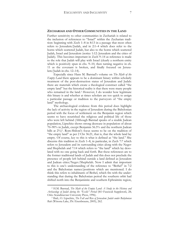#### **ZECHARIAH AND OTHER COMMUNITIES IN THE LAND**

Further sensitivity to other communities in Zechariah is related to the inclusion of references to "Israel" within the Zecharian tradition: beginning with Zech 1–8 in 8:13 in a passage that most often refers to Jerusalem/Judah, and in 2:1–4 which does refer to the horns which scattered Judah, but also to the horns which scattered Judah, Israel and Jerusalem (notice 1:12: Jerusalem and the cities of Judah). This becomes important in Zech 9–14 as reference is made to the role that Judah will play with Israel (clearly a northern entity which is positively spun in chs. 9–10, then turning negative in ch. 11 as the covenant is broken, and finally focused on Jerusalem/Judah in chs. 12–14).

Especially since Hans M. Barstad's volume on *The Myth of the Empty Land* there appears to be a dominant binary within scholarly treatment of the post-destruction status of Jerusalem and Judah: there are materials which create a theological construct called "the empty land" but the historical reality is that there were many people who remained in the land.<sup>[2](#page-7-0)</sup> However, I do wonder how legitimate this binary is and whether at times scholars are too quick to assign a particular passage or tradition to the purveyors of "the empty land" mythology.

The archaeological evidence from this period does highlight the lack of activity in the region of Jerusalem during the Babylonian period with the focus of settlement on the Benjamin region which seems to have nourished the religious and political life of those who were left behind (Although Barstad speaks of a sizable Judean population, Lipschitz shows strong decrease in population of about 70–90% in Judah, except Benjamin 56.5% and the northern Judean hills at  $2\%$ <sup>[3](#page-7-1)</sup>. Rom-Shiloni's focus seems to be on the tradition of "the empty land" as per 2 Chr 36:21, that is, that the whole land lay empty. Of course, key to this is what is defined as "the land." She discerns this tradition in Zech 1–8, in particular, in Zech 7:7 which refers to Jerusalem and its surrounding cities along with the Negev and Shephelah and 7:14 which refers to "the land" which lay desolated with no one going back and forth. But these references are to the former traditional lands of Judah and this does not preclude the presence of people left behind outside a land defined as Jerusalem and Judean cities/Negev/Shephelah. Now I admit that important to this is one's understanding of the reference to "Bethel" in 7:2 and the Babylonian names/positions which are mentioned. I do think this refers to inhabitants of Bethel, which fits with the understanding that during the Babylonian period the southern orbit had shifted north into the Benjaminite and southern Ephraimite region,

<span id="page-7-0"></span><sup>2</sup> H.M. Barstad, *The Myth of the Empty Land: A Study in the History and Archaeology of Judah during the "Exilic" Period* (SO Fasciculi Suppletorii, 28; Oslo: Scandinavian University Press, 1996).

<span id="page-7-1"></span><sup>3</sup> Ibid.; O. Lipschits, *The Fall and Rise of Jerusalem: Judah under Babylonian Rule* (Winona Lake, IN: Eisenbrauns, 2005), 262.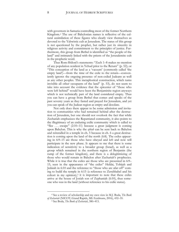with governors in Samaria controlling most of the former Northern Kingdom.[4](#page-8-0) The use of Babylonian names is reflective of the cultural assimilation of these figures who clearly view themselves as devoted to the Yahwistic cult at Jerusalem. The status of this group is not questioned by the prophet, but rather just its sincerity in religious activity and commitment to the principles of justice. Furthermore, this group from Bethel is identified as "the people of the land" and intimately linked with the priests of the Jerusalemite cult in the prophetic word.

Thus Rom-Shiloni's statements: "Zech 1–8 makes no mention of any population resident in Yehud prior to the Return" (p. 52); or "This conception of the land as a 'vacuum' (commonly called 'the empty land')—from the time of the exile to the return—conveniently ignores the ongoing presence of non-exiled Judeans as well as any other peoples. This metaphorical construction, which turns invisible all other occupants of the land" (p. 53), do not seem to take into account the evidence that the epicenter of "those who were left behind" would have been the Benjaminite region anyways which is not technically part of the land considered empty. Thus you can have a group from Bethel that comes and speaks of the past seventy years as they fasted and prayed for Jerusalem, and yet you can speak of the Judean region as empty and desolate.

Not only does there appear to be some admission and invitation to communities who had remained behind after the destruction of Jerusalem, but one should not overlook the fact that while Zechariah emphasizes the Repatriated community, it also points to the illegitimacy of an enduring exilic community which is called to "flee  $\ldots$  escape" (2:10–11) because a great judgment is coming upon Babylon. This is why the *ephah* can be sent back to Babylon and reinstalled in a temple in ch. 5 because in ch. 6 a great destruction is coming upon the land of the north (6:8). The exiles appearing in 6:9–15 are those who have obeyed and left and now will participate in the new phase. It appears to me that there is some indication of sensitivity to a broader group (Israel), as well as a group which remained in the northern region of Benjamin (the rump of the former kingdom), and there is a delegitimizing of those who would remain in Babylon after Zechariah's prophecies. While it is true that the exiles are those who are presented in 6:9– 15, seen in the appearance of "the exiles" Heldai, Tobijah and Jedaiah in 6:10 and the reference to "those who are afar off" coming to build the temple in 6:15 (a reference to Zerubbabel and his cohort in my opinion), $5$  it is important to note that these exiles arrive at the house of Josiah son of Zephaniah (6:10), thus someone who was in the land (without reference to his exilic status).

<span id="page-8-1"></span><span id="page-8-0"></span><sup>4</sup> See a review of scholarship and my own view in M.J. Boda, *The Book of Zechariah* (NICOT; Grand Rapids, MI: Eerdmans, 2016), 432–35.

<sup>5</sup> See Boda, *The Book of Zechariah*, 380–413.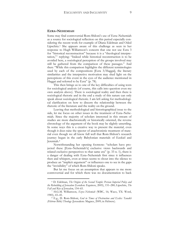### **EZRA–NEHEMIAH**

 $\overline{a}$ 

Some may find controversial Rom-Shiloni's use of Ezra–Nehemiah as a source for sociological reflection on this period especially considering the recent work for example of Diana Edelman and Oded Lipschitz.<sup>[6](#page-9-0)</sup> She appears aware of this challenge as seen in her response to Hugh Williamson's concern that one not use Ezra 3 for "historical reconstruction" because it is a "theological interpretation,"[7](#page-9-1) replying: "Indeed while historical reconstruction is to be avoided here, a sociological perception of the groups involved may still be gathered from the comparison of these passages." And then: "While this comparison highlights the different terminologies used by each of the compositions [Ezra 3/Haggai], the literary similarities and the interpretive motivation may shed light on the perceptions of this event in the eyes of the audience mentioned in Haggai and referred to by Ezra" (p. 78).

This then brings us to one of the key difficulties of using texts for sociological analysis (of course, this calls into question even my own analysis above). There is sociological reality and then there is sociological rhetoric and in the end a study of this nature can only speak about sociological rhetoric. I am left asking for methodological clarification on how to discern the relationship between the rhetoric of the literature and the reality on the ground.

Leaving that methodological and historiographical issue to the side, let me focus on other issues in the treatment of Ezra–Nehemiah. Since the majority of scholars interested in this stream of studies are more diachronically or historically oriented, the reverse chronology of the argument of the book may be slightly unsettling. In some ways this is a creative way to present the material, even though it does raise the specter of anachronistic treatment of material even though we all know full well that Rom-Shiloni's research journey began in the early Babylonian materials of Ezekiel and Jeremiah.[8](#page-9-2)

Notwithstanding her opening footnote: "scholars have projected these [Ezra–Nehemiah's] exclusive views backwards and related exclusive perspectives to that same era" (p. 33 n. 1), there is a danger of dealing with Ezra–Nehemiah first since it influences then and whispers, even at times seems to shout into the silence to produce an "implicit argument" or influences one to see in the gaps the "invisibility" of which Rom-Shiloni speaks.

But let me focus on an assumption that appears to me more controversial and for which there was no documentation to back

<span id="page-9-0"></span><sup>6</sup> D. Edelman, *The Origins of the Second Temple: Persian Imperial Policy and the Rebuilding of Jerusalem* (London: Equinox, 2005), 151–280; Lipschits, *The Fall and Rise of Jerusalem*, 154–65.

<span id="page-9-2"></span><span id="page-9-1"></span><sup>7</sup> H.G.M. Williamson, *Ezra–Nehemiah* (WBC, 16; Waco, TX: Word, 1985), 43–45.

<sup>8</sup> E.g., D. Rom-Shiloni, *God in Times of Destruction and Exiles: Tanakh (Hebrew Bible) Theology* (Jerusalem: Magnes, 2009; in Hebrew).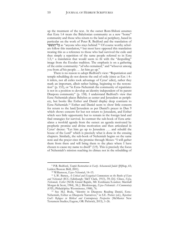up the treatment of the text. At the outset Rom-Shiloni assumes that Ezra 1:4 treats the Babylonian community as a new "home" community and those who return to the land as periphery, based in particular on the work of Peter R. Bedford and the translation of ב**ל־הַנִּשְׁאָר as "anyone who stays behind."<sup>9</sup> Of course worthy schol**ars follow this translation,<sup>10</sup> but most have opposed this translation treating this as a reference to those who had survived the exile and thus simply a repetition of the same people referred to in Ezra 1:3,<sup>11</sup> a translation that would seem to fit with the "despoiling" image from the Exodus tradition. The emphasis is on a gathering of the entire community: "*all* who remained," and "whoever among you from *all* his people . . . let him go up."

There is no reason to adopt Bedford's view: "Repatriation and temple rebuilding do not denote the end of exile (since as Ezr. i 4– 6 infers, not all exiles took advantage of Cyrus' edict), rather they mark an important, albeit rather halting, beginning to the restoration" (p. 153), or "in Ezra–Nehemiah the community of repatriates is not in a position to develop an identity independent of its parent Diaspora community" (p. 158). I understand Bedford's view that Ezra–Nehemiah places Babylon as center and Jerusalem as periphery, but books like Esther and Daniel display deep contrasts to Ezra–Nehemiah.[12](#page-10-0) Esther and Daniel seem to show little concern for return to the land/Jerusalem as per Daniel's prayer in Dan 9 which shows concern for but not return to Jerusalem, and Esther which sees little opportunity but to remain in the foreign land and find strategies for survival. In contrast the sub-book of Ezra articulates a twofold agenda from the outset: an agenda motivated by prophetic promise and divine motivation and then articulated in Cyrus' decree: "Let him go up to Jerusalem . . . and rebuild the house of the Lord" which is precisely what is done in the ensuing chapters. Similarly, the sub-book of Nehemiah begins on the same note and the prayer cites the promise through Moses: "I will gather them from there and will bring them to the place where I have chosen to cause my name to dwell" (1:9). This is precisely the focus of Nehemiah's mission reaching its climax not in the rebuilding of

<sup>9</sup> P.R. Bedford, *Temple Restoration in Early Achaemenid Judah* (JSJSup, 65; Leiden/Boston: Brill, 2001).

<sup>10</sup> Williamson, *Ezra–Nehemiah*, 14–15.

<sup>11</sup> L.W. Batten, *A Critical and Exegetical Commentary on the Books of Ezra and Nehemiah* (ICC; Edinburgh: T&T Clark, 1913), 59; D.J. Clines, *Ezra, Nehemiah, Esther* (NCB; Grand Rapids, MI: Eerdmans/London: Marshall Morgan & Scott, 1984), 38; J. Blenkinsopp, *Ezra*–*Nehemiah: A Commentary* (OTL; Philadelphia: Westminster, 1988), 76.

<span id="page-10-0"></span><sup>12</sup> See M.J. Boda, "Identity in Diaspora: Reading Daniel, Ezra– Nehemiah, Esther as Diasporic Narratives," in S.E. Porter (ed.), *Rejection: God's Refugees in Biblical and Contemporary Perspective* (McMaster New Testament Studies; Eugene, OR: Pickwick, 2015), 1–26.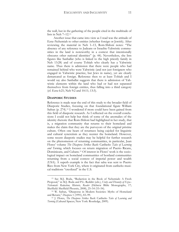the wall, but in the gathering of the people cited in the multitude of lists in Neh 7–12.[13](#page-11-0)

Another issue that came into view as I read was the attitude of Ezra–Nehemiah to other entities (whether foreign or Jewish). After reviewing the material in Neh 1–13, Rom-Shiloni notes: "The absence of any reference to Judeans or Israelite-Yahwistic communities in the land is noteworthy in a context that intentionally obscures other national identities" (p. 44). Nevertheless, she lists figures like Sanballat (who is linked to the high priestly family in Neh 13:28) and of course Tobiah who clearly has a Yahwistic name. Thus there is admission that there were people who had remained behind who were Yahwistic (and not just foreigners who engaged in Yahwistic practice, but Jews in name), yet are clearly demarcated as foreign. Reference then to at least Tobiah and I would say also Sanballat suggests that there is admission of Yahwistic elements within the land who had or had not separated themselves from foreign entities, thus falling into a third category (cf. Ezra 6:21; Neh 9:2 and 10:11; 13:3).

### **DIASPORIC STUDIES**

 $\overline{a}$ 

Reference is made near the end of this study to the broader field of Diasporic Studies, focusing on that foundational figure William Safran (p. 274).[14](#page-11-1) I wondered if more could have been gained from this field of diasporic research. As I reflected on the overall conclusions I could not help but think of some of the anomalies of the identity rhetoric that Rom-Shiloni had highlighted in her study, that is, a migration community that returns to their homeland and makes the claim that they are the purveyors of the original pristine culture. Often one hears of returnees being cajoled for linguistic and cultural syncretism as they reenter the homeland. However, some recent diasporic studies may be helpful for further research on the phenomenon of returning communities, in particular, Juan Flores' volume *The Diaspora Strikes Back:* Caribeño *Tales of Learning and Turning,* which focuses on return migration of Puerto Ricans, Dominicans, and Cubans.[15](#page-11-2) Of interest in Flores' work is the sociological impact on homeland communities of hostland communities returning from a social context of imperial power and wealth (USA). A superb example is the fact that salsa was sent to Puerto Rico from New York City, where it originated from caribeño musical traditions "creolized" in the U.S.

<span id="page-11-0"></span><sup>13</sup> See M.J. Boda, "Redaction in the Book of Nehemiah: A Fresh Proposal," in M.J. Boda and P.L. Redditt (eds.), *Unity and Disunity of Ezra*– *Nehemiah: Redaction, Rhetoric, Reader* (Hebrew Bible Monographs, 17; Sheffield: Sheffield Phoenix, 2008), 25–54 (53–54).

<span id="page-11-1"></span><sup>14</sup> W. Safran, "Diasporas in Modern Societies: Myths of Homeland and Return," *Diaspora* 1 (1991), 83–99.

<span id="page-11-2"></span><sup>15</sup> J. Flores, *The Diaspora Strikes Back:* Caribeño *Tales of Learning and Turning* (Cultural Spaces; New York: Routledge, 2009).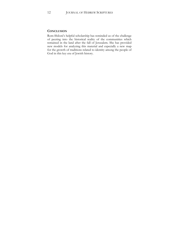### **CONCLUSION**

Rom-Shiloni's helpful scholarship has reminded us of the challenge of peering into the historical reality of the communities which remained in the land after the fall of Jerusalem. She has provided new models for analyzing this material and especially a new map for the growth of traditions related to identity among the people of God in this key era of Jewish history.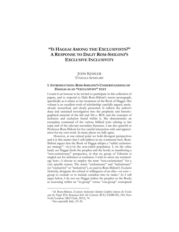### <span id="page-13-0"></span>**"IS HAGGAI AMONG THE EXCLUSIVISTS?" A RESPONSE TO DALIT ROM-SHILONI'S EXCLUSIVE INCLUSIVITY**

### JOHN KESSLER TYNDALE SEMINARY

### **1. INTRODUCTION: ROM-SHILONI'S UNDERSTANDING OF HAGGAI AS AN "EXCLUSIVIST" TEXT**

I count it an honour to be invited to participate in this collection of papers, and to respond to Dalit Rom-Shiloni's recent monograph, specifically as it relates to her treatment of the Book of Haggai. Her volume is an excellent work of scholarship: carefully argued, meticulously researched, and clearly presented. It reflects the author's deep and sustained investigation into the prophetic and historiographical material of the 6th and 5th c. BCE and the concepts of inclusion and exclusion found within it. She demonstrates an exemplary command of the various biblical texts relating to her topic and of the relevant secondary literature. I am also grateful to Professor Rom-Shiloni for her careful interaction with and appreciation for my own work. In many places we fully agree.

However, at one critical point we hold divergent perspectives and it is this matter that I will address in my comments here. Rom-Shiloni argues that the Book of Haggai adopts a "subtly exclusionary strategy"[1](#page-13-1) vis-à-vis the non-exiled population. I, on the other hand, see Haggai (both the prophet and the book) as manifesting a "non-exclusionary" perspective, in that no group of Yahwists is singled out for inclusion or exclusion. I wish to stress my terminology here—I choose to employ the term "non-exclusionary" for a very specific reason. The terms "exclusionary" and "inclusionary" (or "exclusivist" or "inclusivist"), as used in Rom-Shiloni's *Exclusive Inclusivity*, designate the refusal or willingness of an elite—or core group to exclude or to include outsiders into its ranks.[2](#page-13-2) As I will argue below, I do not see Haggai (either the prophet or the Book) as reasoning within an "in-group" versus "out-group" conceptual

<span id="page-13-2"></span><span id="page-13-1"></span><sup>&</sup>lt;sup>1</sup> D. Rom-Shiloni, *Exclusive Inclusivity: Identity Conflicts between the Exiles and the People Who Remained (6th–5th Centuries BCE)* (LHBOTS, 543; New York/London: T&T Clark, 2013), 74.

<sup>2</sup> See especially ibid., 19–30.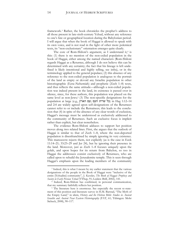framework.[3](#page-14-0) Rather, the book chronicles the prophet's address to all those present in late-sixth-century Yehud, without any reference to one's fate or geographical location during the Babylonian period. I will argue that when the book of Haggai is allowed to speak with its own voice, and is not read in the light of other more polemical texts, its "non-exclusionary" orientation emerges quite clearly.

The core of Rom-Shiloni's argument, as I understand it,<sup>[4](#page-14-1)</sup> is this: (1) there is no mention of the non-exiled population in the book of Haggai, either among the named characters (Rom-Shiloni regards Haggai as a Returnee, although I do not believe this can be determined with any certainty; the fact that his lineage is left undefined is likely intentional and highly telling, see infra), or in the terminology applied to the general populace; (2) this absence of any reference to the non-exiled population is analogous to the portrait of the land as empty or devoid any Israelite population in other historiographic (Ezra–Nehemiah) and prophetic (Zech 1–8) texts, and thus reflects the same attitude—although a non-exiled population was indeed present in the land, its existence is passed over in silence, since, for these authors, this population was placed on the same level as non-Jews;<sup>[5](#page-14-2)</sup> (3) The non-specific designations for the population at large (e.g., כל שרית העם; עם הארץ) in Hag 1:12–14 and 2:4 are widely agreed upon self-designations of the Returnees cannot refer to or include the Remainees; this leads to the conclusion that (4) in spite of the absence of any clear words of exclusion, Haggai's message must be understood as exclusively addressed to the community of Returnees. Such an exclusive focus is implicit rather than explicit, but clear nonetheless.

The evidence Rom-Shiloni adduces to support her position moves along two related lines. First, she argues that the outlook of Haggai is similar to that of Zech 1–8, where the non-deported population is disenfranchised by simply ignoring its very existence. This manoeuvre rejects them, not explicitly (as is the case in Ezek 11:14–21; 33:23–29 and Jer 24), but by ignoring their presence in the land. Moreover, just as Zech 1–8 focuses uniquely upon the golah, and upon hopes for its return from Babylon, so too in Haggai the addressees consist exclusively of Returnees, who are called upon to rebuild the Jerusalemite temple. This is seen through Haggai's emphasis upon the leading members of the community

<span id="page-14-0"></span><sup>&</sup>lt;sup>3</sup> Indeed, this is what I meant by my earlier statement that the various designations of the people in the Book of Haggai were "inclusive of the entire [Yehudite] community", J. Kessler, *The Book of Haggai: Prophecy and Society in Early Persian Yehud* (VTSup, 91; Leiden: Brill, 2002), 141.

<span id="page-14-1"></span><sup>4</sup> Indeed, Rom-Shiloni has confirmed, in personal communication, that my summary faithfully reflects her position.

<span id="page-14-2"></span><sup>&</sup>lt;sup>5</sup> The literature here is enormous. See especially the recent re-statement of this position and literature survey in H.M. Barstad, "The Myth of the Empty Land," in idem, *History and the Hebrew Bible: Studies in Ancient Israelite and Ancient Near Eastern Historiography* (FAT, 61; Tübingen: Mohr Siebeck, 2008), 90–117.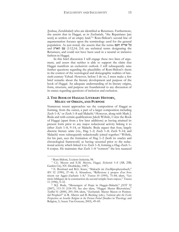(Joshua, Zerubbabel) who are identified as Returnees. Furthermore, she asserts that in Haggai, as in Zechariah, "the Repatriates [are seen] as settlers of an empty land."[6](#page-15-0) Rom-Shiloni's second line of argumentation focuses upon the terminology used for the general population. As just noted, she asserts that the terms העם שרית כל and עם הארץ (1:12,14; 2:4) are technical terms designating the Returnees, and could not have been used in a neutral or inclusive fashion in Haggai.

In this brief discussion I will engage these two lines of argument, and assert that neither is able to support the claim that Haggai manifests an exclusivist outlook. I will subsequently raise further questions regarding the plausibility of Rom-Shiloni's thesis in the context of the sociological and demographic realities of latesixth-century Yehud. However, before I do so, I must make a few brief remarks about the literary development and purpose of the book of Haggai. An adequate understanding of its literary origins, form, structure, and purpose are foundational to any discussion of its stance regarding questions of inclusion and exclusion.

### **2. THE BOOK OF HAGGAI: LITERARY HISTORY, MILIEU OF ORIGIN, AND PURPOSE**

Numerous recent approaches see the composition of Haggai as forming, from the outset, a part of a larger composition including Zech 1–8,[7](#page-15-1) or Zech 1–8 and Malachi.[8](#page-15-2) However, along with Mark J. Boda and with certain qualifications Jakob Wöhrle, I view the Book of Haggai (apart from a few later additions) as having attained its present form prior to any major redactional activity linking it to either Zech 1–8, 9–14, or Malachi. Boda argues that four, largely discrete literary units (viz., Hag 1–2; Zech 1–8; Zech 9–14; and Malachi) were subsequently redactionally joined together.<sup>[9](#page-15-3)</sup> Wöhrle, for his part, sees the formation of Hag 1–2 (both its oracles and chronological framework) as having occurred prior to the redactional activity which linked it to Zech 1–8, forming a Hag–Zech 1– 8 corpus. He maintains that Zech 1–8 "corrects" the less nuanced

<sup>6</sup> Rom-Shiloni, *Exclusive Inclusivity*, 98.

<span id="page-15-1"></span><span id="page-15-0"></span><sup>7</sup> C.L. Meyers and E.M. Meyers, *Haggai, Zechariah 1*–*8* (AB, 25B; Garden City, NY: Doubleday, 1987).

<span id="page-15-2"></span><sup>8</sup> E. Bosshard and R.G. Kratz, "Maleachi im Zwölfprophetenbuch," *BN* 52 (1990), 27–46; A. Sérandour, "Réflexions à propos d'un livre récent sur Aggée–Zacharie 1–8," *Transeu* 10 (1995), 75–84; idem, "Les récits bibliques de la construction du second temple: leurs enjeux," *Transeu* 11 (1996), 9–32.

<span id="page-15-3"></span><sup>9</sup> M.J. Boda, "Messengers of Hope in Haggai–Malachi," *JSOT* 32 (2007), 113–31 (118–19). See also idem, "Haggai: Master Rhetorician," *TynBul* 51 (2000), 295–304; idem, "Zechariah: Master Mason or Penitential Prophet?" in R. Albertz and B. Becking (eds.), *Yahwism after the Exile: Perspectives on Israelite Religion in the Persian Period* (Studies in Theology and Religion, 5; Assen: Van Gorcum, 2003), 49–69.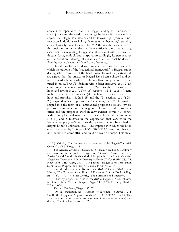concept of repentance found in Haggai, adding to it notions of social justice and the need for ongoing obedience.<sup>[10](#page-16-0)</sup> I have similarly argued that Haggai is a literary unit in its own right (certain minor redactional additions or linking features notwithstanding), standing chronologically prior to Zech 1–8.[11](#page-16-1) Although the arguments for this position cannot be rehearsed here, suffice it to say that a strong case exists for regarding Haggai as a literary unit with its own distinctive form, outlook and purpose. Accordingly, its perspectives on the social and ideological dynamics in Yehud must be derived from its own voice, rather than from other texts.

Despite well-known disagreements regarding the extent to which the outlook of the "redactional framework" in Haggai can be distinguished from that of the book's oracular material, virtually all are agreed that the oracles of Haggai have been collected and set into a broader literary whole.[12](#page-16-2) The resultant composition is structured in an  $A/B/A'/B'$  fashion with a brief narrative at 1:12–15, connecting the condemnations of 1:2–11 to the expressions of hope and favour in 2:1–9. The "A" sections (1:2–11; 2:15–19) tend to be largely negative in tone (although not without elements of hope and promise, 1:8, 2:18–19) and the "B" sections (2:1–9; 20– 23) resplendent with optimism and encouragement.[13](#page-16-3) The work is shaped into the form of a "dramatized prophetic booklet," whose purpose is to underline the ongoing relevance of the prophetic office and the prophetic word in early Persian Yehud.[14](#page-16-4) It begins with a complete stalemate between Yahweh and the community (1:2–11) and culminates in the expectation that very soon the Yehud's temple (2:6–9) and Davidic governor would be exalted to heights hitherto unknown (2:23). The impasse with which the book opens is created by "this people's" (הזה העם 1:2 (assertion that it is not the time to come (בוא (and build Yahweh's house.*29F* <sup>15</sup> This stale-

<span id="page-16-0"></span><sup>10</sup> J. Wöhrle, "The Formation and Intention of the Haggai–Zechariah Corpus," *JHS* 6 (2006), 2–14.

<span id="page-16-1"></span><sup>11</sup> See Kessler, *The Book of Haggai*, 31–57; idem, "Tradition, Continuity and Covenant in the Book of Haggai: An Alternative Voice from Early Persian Yehud," in M.J. Boda and M.H. Floyd (eds.), *Tradition in Transition: Haggai and Zechariah 1*–*8 in the Trajectory of Hebrew Theology* (LHBOTS, 475; New York: T&T Clark, 2008), 1–39; idem, "Haggai 2:5a: Translation, Significance, Purpose, and Origin," *Transeu* 45 (2014), 69–89.

<span id="page-16-2"></span><sup>12</sup> See the discussion in Kessler, *The Book of Haggai*, 31–39; R.A. Mason, "The Purpose of the 'Editorial Framework' of the Book of Haggai," *VT* 27 (1977), 413–21; Wöhrle, "The Formation and Intention."

<span id="page-16-3"></span><sup>13</sup> Thus my proposal in Kessler, *The Book of Haggai*, 247–51, followed most recently in M. Leuenberger, *Haggai* (HThKAT; Freiburg: Herder, 2015), 35–38.

<sup>14</sup> Kessler, *The Book of Haggai*, 243–57.

<span id="page-16-4"></span><sup>15</sup> On this translation see J. Kessler, "*ʿt* (le temps) en Aggée I 2–4: Conflit théologique ou 'sagesse mondaine'?" *VT* 48 (1998), 555–59. This stands in contrast to the more common (and in my view erroneous) rendering, "The time has not come . . ."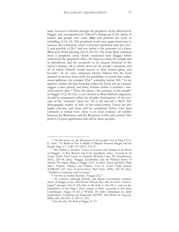mate, however is broken through the prophetic word, delivered by Haggai, and accompanied by Yahweh's stirring-up of the spirits of leaders and people who come  $(X|Z)$  and perform the work of rebuilding (1:12–14). The prophetic word once again intervenes to reassure the community when it becomes paralyzed with fear (2:1– 5, and possibly 1:12b)<sup>16</sup> and sets before it the assurance of a future filled with divine blessing (2:6–9; 20–23). The book likely stemmed from a prophetic circle closely associated with Haggai, which understood the prophetic office, the Sinai covenant, the temple and its priesthood, and the monarchy to be integral elements of the nation's identity, all of which deserved the people's attention, and all of which Yahweh would restore to their former glory, and beyond.<sup>17</sup> In my view, numerous factors indicate that the book attained its present form (with the possibility of certain later redactional additions, for example 2:5a)<sup>18</sup> sometime before 500.<sup>19</sup> In my opinion, neither the date formulae within the book, nor its contents suggest a later period, and many features within it confirm a latesixth-century date.<sup>20</sup> Thus, the phrase "the remnant of the people" in Haggai (1:12, 14; 2:2), a core element in Rom-Shiloni's argument, should be interpreted within the broader development of the concept of the "remnant" from the 7th to the late-6th c. BCE. The demographic realties of mid- to late-sixth-century Yehud are also highly relevant, and these will be considered below. One final comment is critical here: there is no clear evidence of conflict between the Remainees and the Returnees at this early period. This point is of great significance and will be taken up infra.

<sup>16</sup> On this point, see the discussion of the people's fear in Hag 1:12 in E. Assis, "To Build or Not to Build: A Dispute between Haggai and his People (Hag 1)," *ZAW* 119 (2007), 514–27.

<sup>&</sup>lt;sup>17</sup> See further, J. Kessler, "Curse, Covenant, and Temple in the Book of Haggai," in R.J. Bautch and G.N. Knoppers (eds.), *Covenant in the Persian Period: From Genesis to Chronicles* (Winona Lake, IN: Eisenbrauns, 2015), 229–54; idem, "Haggai, Zerubbabel, and the Political Status of Yehud: The Signet Ring in Haggai 2:23," in M.H. Floyd and R.D. Haak (eds.), *Prophets, Prophecy, and Prophetic Texts in Second Temple Judaism* (LHBOTS, 427; New York/London: T&T Clark, 2006), 102–19; idem, "Tradition, Continuity and Covenant."

<sup>18</sup> On this see further Kessler, "Haggai 2:5a."

<sup>19</sup> By contrast, although Wöhrle and Martin Leuenberger attribute much of Haggai to the early Persian Period, they date its more "eschatological" passages (2:6–8; 21b–23a) to the mid- to late-5th c., and see the formulation of the Hag–1 Zech corpus as likely occurring at this time, Leuenberger, *Haggai*, 61–63; J. Wöhrle, *Die frühen Sammlungen des Zwölfprophetenbuch: Entstehung und Komposition* (BZAW, 360; Berlin: de Gruyter,  $2006$ , 285–322 (301–2, 309–12, 321).

<sup>20</sup> See Kessler, *The Book of Haggai*, 31–57.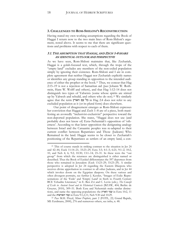### **3. CHALLENGES TO ROM-SHILONI'S RECONSTRUCTION**

Having stated my own working assumptions regarding the Book of Haggai I return now to the two main lines of Rom-Shiloni's argument, noted above. It seems to me that there are significant questions and problems with respect to each of them.

### 3.1. THE ASSUMPTION THAT HAGGAI, AND ZECH 1–8 SHARE AN IDENTICAL OUTLOOK AND PERSPECTIVE

As we have seen, Rom-Shiloni maintains that, like Zechariah, Haggai is a golah-focused text, which, through the trope of the "empty land" excludes any members of the non-exiled population simply by ignoring their existence. Rom-Shiloni and I are in complete agreement that neither Haggai nor Zechariah explicitly names or identifies any group standing in opposition to the intended audience of either the prophet or the book.[21](#page-18-0) Thus, we concur that Hag 2:15–19 is not a rejection of Samaritan aid (*pace* Johann W. Rothstein, Hans W. Wolff and others), and that Hag 1:12–14 does not distinguish two types of Yahwists (some whose spirits are stirred up by Yahweh and rebuild, and others who do not).<sup>[22](#page-18-1)</sup> We similarly agree that the term הארץ עם כל in Hag 2:4 does not refer to any excluded population as it (or its plural form) does elsewhere.

Our point of disagreement emerges as Rom-Shiloni expresses her conviction that Haggai and Zech 1–8 are of a piece, both manifesting an avowedly "inclusivist-exclusivist" perspective toward the non-deported population. She states, "Haggai does not use (and probably does not know of) Ezra–Nehemiah's opposition of 'otherness'. According to that latter opposition the denigrating analogy between Israel and the Canaanite peoples was re-adapted to their current conflict between Repatriates and Those (Judeans) Who Remained in the land. Haggai seems to be closer to Zechariah's positioning of the Repatriates as settlers of an empty land, a con-

<span id="page-18-0"></span><sup>&</sup>lt;sup>21</sup> This of course stands in striking contrast to the situation in Jer 24 and 42–44, Ezek 11:14–21; 33:23–29, Ezra 3:3; 4:1–5; 6:21; 9:1–2; 10:2, 10, and Neh 4; 6; 9:2; 10:30; 13:1–14; 23–31. In these texts the "out group" from which the returnees are distinguished is either named or described. Thus the Book of Ezekiel differentiates the 597 deportees from those who remained in Jerusalem (Ezek 13:23–29; 33:23–29). A similar perspective is adopted in Jer 24 regarding the Eastern Diaspora who receives divine approbation in contrast to all other Judeans, and in Jer 44 which invokes doom on the Egyptian diaspora. On these various and often divergent portraits, see further J. Kessler, "Images of Exile: Representations of the 'Exile' and 'Empty Land' in Sixth to Fourth Century BCE Yehudite Literature," in E. Ben Zvi and C. Levin (eds.), *The Concept of Exile in Ancient Israel and its Historical Contexts* (BZAW, 404; Berlin: de Gruyter, 2010), 309–51. Both Ezra and Nehemiah make similar distinctions, and name the opposing populations: the הארץ עמי in Ezra 10:2, 11 and the הארצות עמי in Ezra 9:1,2,11; Neh 9:30 and 10:29.

<span id="page-18-1"></span><sup>22</sup> *Pace* M.H. Floyd, *Minor Prophets*, part 2 (FOTL, 22; Grand Rapids, MI: Eerdmans, 2000), 276 and numerous others, see infra, n. 48.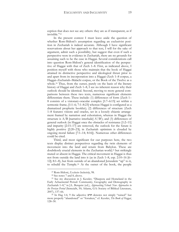ception that does not see any others: they are as if transparent, as if invisible."[23](#page-19-0)

In the present context I must leave aside the question of whether Rom-Shiloni's assumption regarding an exclusivist position in Zechariah is indeed accurate. Although I have significant reservations about her approach to that text, I will for the sake of argument, admit such a possibility, but suggest that even if such a perspective were in evidence in Zechariah, there are no grounds for assuming such to be the case in Haggai. Several considerations call into question Rom-Shiloni's general identification of the perspective of Haggai with that of Zech 1–8. First, as indicated above, I position myself with those who maintain that the book of Haggai attained its distinctive perspective and ideological thrust prior to and apart from its incorporation into a Haggai–Zech 1–8 corpus, a Haggai–Zechariah–Malachi corpus, or the Book of the Twelve as a whole.<sup>[24](#page-19-1)</sup> Thus, from the outset, purely on the basis of the literary history of Haggai and Zech 1–8, I see no inherent reason why their outlook should be identical. Second, moving to more general comparisons between these two texts, numerous significant elements differentiate them. These include: (1) differences of form (Zech 1– 8 consists of a visionary-oracular complex [1:7–6:15] set within a sermonic frame, [1:1–6; 7:1–8:23] whereas Haggai is configured as a dramatized prophetic booklet); (2) differences of structure (Zech 1–8 features visions and oracles, set in a loosely chiastic arrangement framed by narration and exhortation, whereas in Haggai the structure is  $A/B$  [narrative interlude]  $A'/B'$ ; and (3) differences of general outlook (in Haggai once the obstacles of resistance [1:2–11] and impurity [2:15–17] are removed, the outlook for the future is highly positive [2:20–23]; in Zechariah optimism is clouded by ongoing moral failure [7:1–14; 8:16]). Numerous other differences could be cited.

Third, and most significant for our purposes here, the two texts display distinct perspectives regarding the twin elements of movement into the land and return from Babylon. These are doubtlessly crucial elements in the Zecharian world,<sup>[25](#page-19-2)</sup> but strikingly muted or absent in Haggai. The critical movement in Haggai is thus not from outside the land into it (as in Zech 1–8, esp. 2:10–16 [6– 12]; 8:1–8), but from outside of an abandoned Jerusalem "up" to it, to rebuild the Temple.[26](#page-19-3) At the outset of the book, the people

<sup>23</sup> Rom-Shiloni, *Exclusive Inclusivity*, 98.

<sup>24</sup> See notes 7 and 8, above.

<span id="page-19-2"></span><span id="page-19-1"></span><span id="page-19-0"></span><sup>25</sup> See my discussion in J. Kessler, "Diaspora and Homeland in the Early Achaemenid Period: Community, Geography and Demography in Zechariah 1–8," in J.L. Berquist (ed.), *Approaching Yehud: New Approaches to the Persian Period* (SemeiaSt, 50; Atlanta, GA: Society of Biblical Literature, 2007), 137–66.

<span id="page-19-3"></span><sup>&</sup>lt;sup>26</sup> In Hag 1:4, 9 the adjective חרב denotes not simply "ruined" but more properly "abandoned" or "forsaken," cf. Kessler, *The Book of Haggai*, 128–30.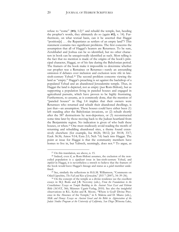refuse to "come" (בוא, 1:2([27](#page-20-0) and rebuild the temple, but, heeding the prophet's words, they ultimately do so (again  $\kappa$ בוא, v. 14). Furthermore, on what textual basis, can it be asserted that Haggai "position[s] . . . the Repatriates as settlers of an empty land"? This statement contains two significant problems. The first concerns the assumption that all of Haggai's hearers are Returnees. To be sure, Zerubbabel and Joshua can be so identified, but no other characters in book can be unequivocally identified as such. Most telling is the fact that no mention is made of the origins of the book's principal character, Haggai, or of his fate during the Babylonian period. The framers of the book make it impossible to determine whether our prophet was a Remainee or Returnee—surely an astounding omission if debates over inclusion and exclusion were rife in latesixth-century Yehud.[28](#page-20-1) The second problem concerns viewing the land as "empty." Haggai's preaching is set against the backdrop of a populated Yehud and an abandoned Jerusalemite temple. Thus, in Haggai the land is depicted, not as empty (*pace* Rom-Shiloni), but as supporting a population living in paneled houses and engaged in agricultural pursuits, which have proven to be highly frustrating. Furthermore, to assume, as is commonly done, that the mention of "paneled houses" in Hag 1:4 implies that their owners were Returnees who returned and rebuilt their abandoned dwellings, is just that—an assumption. These houses could have either been (1) left standing after the Babylonian invasions, or (2) rebuilt shortly after the 587 destructions by non-deportees, or (3) reconstructed some time later by those moving back to the Judean heartland from the Benjaminite region. No indication is given of who built these houses, or when.<sup>29</sup> One must studiously avoid reading the motifs of returning and rebuilding abandoned sites, a theme found extensively elsewhere (for example, Isa 44:26; 58:12; Jer 30:18; 33:7; Ezek 36:36; Amos 9:14; Ezra 2:1; Neh 7:6) back into Haggai. The point at issue for Haggai is that the community members have homes to live in, but Yahweh, seemingly, does not.<sup>30</sup> To argue, as

<sup>27</sup> On this translation, see above, n. 15.

<span id="page-20-1"></span><span id="page-20-0"></span><sup>28</sup> Indeed, even if, as Rom-Shiloni assumes, the exclusion of the nonexiled population is a *significant* issue in late-sixth-century Yehud, and *implicit* in Haggai, it is nevertheless a stretch to believe that the framers of the book would leave Haggai's lineage and status as a *golah* member undefined.

<sup>29</sup> See, similarly the reflections in H.G.M. Williamson, "Comments on Oded Lipschits, *The Fall and Rise of Jerusalem*," *JHS* 7 (2007), 34–39 (36).

<sup>&</sup>lt;sup>30</sup> On the concept of the temple as a divine residence see the excellent essays in M.J. Boda and J.R. Novotny (eds.), *From the Foundations to the Crenellations: Essays on Temple Building in the Ancient Near East and Hebrew Bible* (AOAT, 366; Münster: Ugarit-Verlag, 2010). See also the insightful observations in R.L. Kohn and R. Moore, "Where is God? Divine Presence in the Absence of the Temple," in S. Malena and D. Miano (eds.), *Milk and Honey: Essays on Ancient Israel and the Bible in Appreciation of the Judaic Studies Program at the University of California, San Diego* (Winona Lake,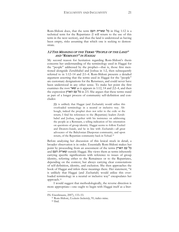Rom-Shiloni does, that the term העם שארית כל in Hag 1:12 is a technical term for the Repatriates (I will return to the use of this term in the next section), and thus the land is understood as having been empty, risks assuming that which one is seeking to demonstrate.

### 3.2 THE MEANING OF THE TERMS "PEOPLE OF THE LAND" AND "REMNANT" IN HAGGAI

My second reason for hesitation regarding Rom-Shiloni's thesis concerns her understanding of the terminology used in Haggai for the "people" addressed by the prophet—that is, those first mentioned alongside Zerubbabel and Joshua in 1:2, then subsequently referred to in 1:12–14 and 2:1–4. Rom-Shiloni presents a detailed argument asserting that the terms used in Haggai for the "people" are customary designations for the Returnees, and could never have been understood in any other sense. To make her point she first examines the root שאר as it appears in 1:12, 14 and 2:2–4, and then the expression הארץ עם כל in 2:5. She argues that these terms stand as part of a longer process of community self-definition and concludes:

[I]t is unlikely that Haggai (and Zechariah) would utilize this overloaded terminology in a neutral or inclusive way. Although, indeed the prophet does not refer to the exile or the return, I find his references to the (Repatriate) leaders Zerubbabel and Joshua, together with his insistence on addressing the people as a Remnant, a telling indication of his orientation on questions of group identity. Haggai seems to follow Ezekiel and Deutero-Isaiah, and be in line with Zechariah—all great advocates of the Babylonian Diasporan community, and upon return, of the Repatriate community back in Yehud.[31](#page-21-0)

Before analyzing her discussion of this lexical stock in detail, a broader observation is in order. Essentially Rom-Shiloni makes her point by proceeding from an assessment of the terms הארץ עם כל and העם שארית outside Haggai. She views them as terms inherently carrying specific significations with reference to issues of group identity, referring either to the Remainees or to the Repatriates, depending on the context, but always carrying clear connotations of self-definition, identity, and exclusion. She then approaches the book of Haggai and infers these meanings there. Her statement, "it is unlikely that Haggai (and Zechariah) would utilize this overloaded terminology in a neutral or inclusive way" encapsulates her approach.<sup>32</sup>

I would suggest that methodologically, the reverse direction is more appropriate—one ought to begin with Haggai itself as a liter-

<span id="page-21-0"></span>IN: Eisenbrauns, 2007), 133–53.

<sup>31</sup> Rom-Shiloni, *Exclusive Inclusivity*, 91; italics mine.

<sup>32</sup> Ibid.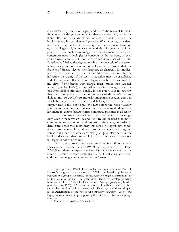ary unit (see my discussion supra) and assess the relevant terms in the context of the phrases in which they are embedded, within the literary flow and structure of the book, as well as in terms of the book's literary history, date and purpose. What is more, consideration must be given to the possibility that the "remnant terminology" in Haggai might indicate an entirely idiosyncratic or independent use of such terminology, or a development of earlier or contemporaneous ideologies of concepts of the remnant, or even an ideological counterpoint to them. Rom-Shiloni's use of the term "overloaded" belies the degree to which her analysis of the terminology rests on prior assumptions. How do we know that the framers of Haggai viewed such language as charged with implications of exclusion and self-definition? Moreover, before inferring influence, the dating of the texts in question must be established and clear lines of influence upon Haggai must be demonstrated. In my view, if one begins with Haggai itself (rather than Ezekiel, Jeremiah, or Isa 40–55), a very different picture emerges from the one Rom-Shiloni presents. Finally, in her study, it is noteworthy that she presupposes that the communities of the 6th–5th c. are divided into *two and only two* mutually antagonistic groups, and that all of the biblical texts of the period belong to one or the other camp.[33](#page-22-0) But is this not to put the cart before the horse? Clearly some texts manifest such polarization, but is it methodologically legitimate to assume bipartite intra-communal polemics in all texts?

In the discussion that follows I will argue that, methodologically, even if the terms שארית and הארץ עם can be used as terms of community self-definition and exclusion elsewhere, in order to demonstrate that they must carry this sense in Haggai, two conditions must be met. First, there must be evidence that in-group versus out-group dynamics are clearly at play elsewhere in the book, and second, that a more likely explanation for their presence in Haggai is not to be found.

Let us then turn to the two expressions Rom-Shiloni asserts smack of exclusivism, the term שארית as it appears in 1:12, 14 and  $2:2-3$ וּ כל עם הארץ in 2:4. Given that the latter expression is more easily dealt with, I will consider it first, and then devote greater attention to the former.

<span id="page-22-0"></span><sup>33</sup> See esp. ibid., 19–29. In a similar vein, one thinks of Paul D. Hanson's suggestion that sociology of Yehud reflected a polarization between two groups. He states, "In the realm of religious institutions, as in the realm of politics, the polarization tends to develop primarily between two forces," cf. P.D. Hanson, *The Dawn of Apocalyptic* (Philadelphia: Fortress, 1975), 212. However, it is hardly self-evident that such is always the case. Rom-Shiloni interacts with Hanson, and at times critiques his characterization of the two groups (*Exclusive Inclusivity*, 129–31) but largely follows his lead in presupposing the existence of two main groups in conflict.

<span id="page-22-1"></span><sup>34</sup> On the term הנשאר in 2:3, see infra.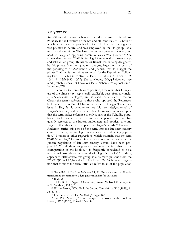### עם הארץ 3.2.1

Rom-Shiloni distinguishes between two distinct uses of the phrase הארץ עם in the literature of the 6th and 5th centuries BCE, both of which derive from the prophet Ezekiel. The first use, she suggests, was positive in nature, and was employed by the "in-group" as a term of self-definition. The latter, by contrast, was exclusionary and used to designate opposing communities as "out-groups."[35](#page-23-0) She argues that the term הארץ עם in Hag 2:4 reflects this former usage, and asks which group, Returnees or Remainees, is being designated by this phrase. She then goes on to argue, largely on the basis of the genealogies of Zerubabbel and Joshua, that in Haggai the phrase הארץ עם is a terminus technicus for the Repatriates (following Ezek 12:19 but in contrast to Ezek 16:3; 22:23–31; Ezra 9:1–2; 10: 2, 11; Neh 9:30; 10:29). She concludes, "Haggai does not use (and probably does not know of) Ezra–Nehemiah's opposition of 'otherness'."<sup>36</sup>

In contrast to Rom-Shiloni's position, I maintain that Haggai's use of the phrase הארץ עם is easily explicable apart from any inclusivist/exclusivist ideologies, and is used for a specific reason. Clearly the term's reference to those who opposed the Returnees' building efforts in Ezra 4:4 has no relevance in Haggai. The critical issue in Hag 2:4 is whether or not this term designates all of Haggai's hearers, and what it implies. Numerous scholars opine that the term makes reference to only a part of the Yehudite population. Wolff notes that in the monarchic period this term frequently referred to the Judean landowners and political elite and suggests that this idea is implied in Haggai's words.<sup>[37](#page-23-1)</sup> Francis I. Andersen carries this sense of the term into the late-sixth-century context, arguing that in Haggai it refers to the landowning population.[38](#page-23-2) Numerous other suggestions, which maintain that the term הארץ עם in Hag 2:4 makes reference to a portion, but not all of the Judean population of late-sixth-century Yehud, have been proposed.[39](#page-23-3) Yet all these suggestions overlook the fact that in the configuration of the book (2:4 is frequently considered to be a redactional assemblage of several of Haggai's oracles)<sup>[40](#page-23-4)</sup> nothing appears to differentiate this group as a dramatis persona from the שארית העם in 1:12,14 and 2:2. Thus Ernest W. Nicholson's suggestion that at times the term הארץ עם refers to all of the population

<span id="page-23-0"></span><sup>35</sup> Rom-Shiloni, *Exclusive Inclusivity*, 94, 96. She maintains that Ezekiel transformed the term into a derogatory moniker for outsiders.

<sup>36</sup> Ibid., 98.

<span id="page-23-1"></span><sup>37</sup> H.W. Wolff, *Haggai: A Commentary*, trans. M. Kohl (Minneapolis, MN: Augsburg, 1988), 78.

<span id="page-23-2"></span><sup>38</sup> F.I. Andersen, "Who Built the Second Temple?" *ABR* 6 (1958), 1– 35 (30–31).

<sup>39</sup> For these see Kessler, *The Book of Haggai*, 168.

<span id="page-23-4"></span><span id="page-23-3"></span><sup>40</sup> See P.R. Ackroyd, "Some Interpretive Glosses in the Book of Haggai," *JJS* 7 (1956), 163–68 (166–68).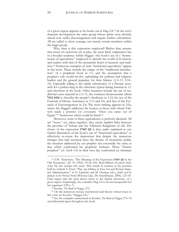of a given region appears to be borne out in Hag 2:4.[41](#page-24-0) In the text's dramatic development the same group whose spirits were divinely stirred now suffer discouragement and require further exhortation. All are called to show courage, not merely certain members within the larger group.

Why, then is this expression employed? Rather than assume that issues of exclusivity are at play, the most likely explanation lies in a broader tendency within Haggai—the book's use of a "hermeneutic of equivalents," employed to identify the world of its hearers and readers with that of the monarchic Israel of memory and tradition.[42](#page-24-1) Numerous examples of such "functional equivalents" appear in the book. These include the calque of the "traditional introduction" of a prophetic book in 1:1, and the assumption that a prophet's role would involve upbraiding the political and religious leaders and the general populace for their failures (1:3–11; 2:10– 14). Especially telling is the subtle substitution of a Persian monarch for a Judean king in the otherwise typical dating formula in 1:1 and elsewhere in the book. Other instances include the use of traditional curse material in 1:3–11, the common deuteronomic idiom בקול שמע to describe the people's obedience in 1:12, the use of the Formula of Divine Assistance in 1:13 and 2:4, and that of the Formula of Encouragement in 2:4. The most striking appears in 2:5a, where the Haggai's addresses his hearers as those with whom Yahweh made a promise (or covenant) "when you came out of Egypt."<sup>43</sup> Numerous others could be listed.<sup>44</sup>

Moreover, none of these equivalences is perfectly identical. All are "loose," yet, taken together, they create implicit links between the province of Yehud, and the Yahwistic Kingdoms of old. The choice of the expression הארץ עם is thus easily explained as one further illustration of the book's use of "functional equivalents" to effectively re-create the impression that despite the numerous changes that had occurred since the demise of monarchic Judah, the situation addressed by our prophet was essentially the same as that which confronted his prophetic forbears. These "former prophets" (cf. Zech 1:4) in their own day confronted an obstinate

<span id="page-24-0"></span><sup>41</sup> E.W. Nicholson, "The Meaning of the Expression הארץ עם in the Old Testament," *JJS* 10 (1965), 59–66 (60). Rom-Shiloni (*Exclusive Inclusivity*, 94) also accepts this sense. This stands in contrast to the position held by Lisbeth S. Fried, "The 'am hā'āreṣ in Ezra 4:4 and Persian Imperial Administration," in O. Lipschits and M. Oeming (eds.), *Judah and the Judeans in the Persian Period* (Winona Lake, IN: Eisenbrauns, 2006), 123–45. Fried argues that the term always refers to the landed aristocracy of a given region. Surprisingly, she considers Hag 2:4 to be inconsequential for her argument (128 n. 7).

<sup>42</sup> Kessler, *The Book of Haggai*, 273.

<span id="page-24-1"></span><sup>43</sup> On the numerous textual, translational and literary critical issues in this verse see Kessler, "Haggai 2:5a."

<sup>44</sup> See the examples summarized in Kessler, *The Book of Haggai*, 273–74 and elaborated upon throughout the book.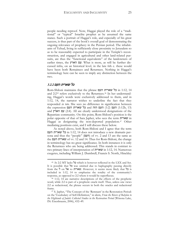people needing reproof. Now, Haggai played the role of a "traditional" or "typical" Israelite prophet as he assumed the same stance. Such a portrait of Haggai's role, and especially of his great success, is thus part of the book's overall goal of demonstrating the ongoing relevance of prophecy in the Persian period. The inhabitants of Yehud, living in sufficiently close proximity to Jerusalem so as to be reasonably expected to participate in the Temple's reconstruction, and engaged in agricultural and other land-related pursuits, are thus the "functional equivalents" of the landowners of earlier times, the הארץ עם. What is more, as will be further discussed infra, on an historical level, in the late 6th c. these would have been both Remainees and Returnees. Nothing in Haggai's terminology here can be seen to imply any distinction between the two.

### כל שארית העם 3.2.2

 $\overline{a}$ 

Rom-Shiloni maintains that the phrase העם שארית כל in 1:12, 14 and 2:2[45](#page-25-0) refers exclusively to the Returnees.[46](#page-25-1) In her understanding, Haggai's words were exclusively addressed to them, and in 1:12, 14, the narrator wishes to underline the fact that they responded *in toto*. She sees no difference in signification between the expression העם הזה and כל שארית העם (1:2) העם הזה and ה and עם הארץ (2:4). All are clearly understood designations of the Repatriate community. On this point, Rom-Shiloni's position is the polar opposite of that of Sara Japhet, who sees the term שארית in Haggai as designating the non-deported population.<sup>47</sup> Other mediating positions exist, and I will discuss these below.

As noted above, both Rom-Shiloni and I agree that the term העם שארית כל in 1:12, 14 does not introduce a new dramatis persona and thus the "people" (העם) of vv. 2 and 13 are the same as the העם שארית of vv. 12 and 14. Thus for Rom-Shiloni, the change in terminology has no great significance. In both instances it is only the Returnees who are being addressed. This stands in contrast to two primary lines of interpretation of שארית in 1:12, 14. Numerous exegetes, including William J. Dumbrell, Francis S. North, Hinckley

<span id="page-25-0"></span><sup>45</sup> At 2:2 MT lacks כל which is however reflected in the LXX and Syr. It is possible that כל was omitted due to haplography passing directly from the ל on אל to שארית. However, it seems more likely that כל is included in 1:12, 14 to emphasize the totality of the community's response, as opposed to 2:2 where it would be superfluous.

<span id="page-25-1"></span><sup>46</sup> 1:12, 14 are narrative descriptions of the effects of the prophetic word, while 2:2 is part of a prophetic oracle itself. Thus, unless one views 2:2 as redactional, the phrase occurs in both the oracles and redactional frame.

<sup>47</sup> S. Japhet, "The Concept of the 'Remnant' in the Restoration Period: on the Vocabulary of Self-Definition," in idem, *From the Rivers of Babylon to the Highlands of Judah: Collected Studies in the Restoration Period* (Winona Lake, IN: Eisenbrauns, 2006), 432–49.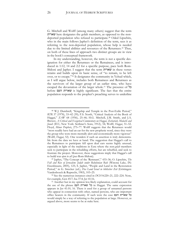G. Mitchell and Wolff (among many others) suggest that the term שארית here designates the golah members, as opposed to the nondeported population who refused to participate.<sup>48</sup> Oded Lipschits, who in the main follows Japhet's definition of the term, sees it as referring to the non-deported population, whose help is needed due to the limited abilities and resources of the Returnees.<sup>49</sup> Thus, on both of these lines of approach two distinct groups are in view in the book's conceptual framework.

In my understanding, however, the term is not a specific designation for either the Returnees or the Remainees, and is introduced in 1:12, 14 and 2:2 for a specific purpose, pace both Rom-Shiloni and Japhet. I suggest that the term שארית in these verses retains and builds upon its basic sense, of "to remain, to be left over, or to escape."[50](#page-26-0) It designates the community in Yehud which, as I will argue below, includes both Remainees and Returnees as the survivors of the larger group of an earlier time, who have escaped the devastation of the larger whole.[51](#page-26-1) The presence of כל before העם שארית is highly significant. The fact that the entire population responds to the prophet's preaching serves to underline

<sup>48</sup> W.J. Dumbrell, "Kingship and Temple in the Post-Exilic Period," *RTR* 37 (1978), 33–42 (39); F.S. North, "Critical Analysis of the Book of Haggai," *ZAW* 68 (1956), 25–46; H.G. Mitchell, J.M. Smith, and J.A. Brewer, *A Critical and Exegetical Commentary on Haggai, Zechariah, Malachi and Jonah* (ICC; New York: Scribner's Sons, 1912), 54; Wolff, *Haggai*, 51–52. Floyd, *Minor Prophets*, 275–77. Wolff suggests that the Returnees would "most readily have had an ear for the new prophetic word, since they were the group who were more mentally alert and economically more vigorous" (Wolff, *Haggai*, 52). One wonders if such an assertion is truly demonstrable from the data we have at hand. The suggestion that Haggai's call to the Remainees to participate fell upon deaf ears seems highly unusual, especially in light of the traditions in Ezra where the non-*golah* members seek to participate in the rebuilding efforts, but are rebuffed, and seek to frustrate the project. Moreover, these suggestions imply that Haggai's call to build was *open to all* (*pace* Rom-Shiloni).

<sup>49</sup> Japhet, "The Concept of the 'Remnant'," 433–36; O. Lipschits, *The Fall and Rise of Jerusalem: Judah under Babylonian Rule* (Winona Lake, IN: Eisenbrauns, 2005), 125; S. Japhet, "People and Land in the Restoration Period," in G. Strecker (ed.), *Das Land Israel in biblischer Zeit* (Göttingen: Vandenhoeck & Ruprecht, 1983), 103–25.

<span id="page-26-0"></span><sup>50</sup> See the numerous instances cited in *DCH* 8:220–21, 222–224. Note, for example, Gen 45:7; Isa 37:4; Jer 41:16.

<span id="page-26-1"></span><sup>51</sup> Another but in my opinion less likely explanation, could account for the use of the phrase העם שארית כל in Haggai. The same expression appears in Jer 41:10, 16. There it used for a group of unnamed persons who appear in connection with other, named persons, who are important office bearers in the community. If such were the case העם שארית כל would simply be a way of referring to the population at large. However, as argued above, more seems to be at stake here.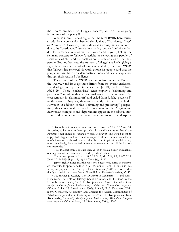the book's emphasis on Haggai's success, and on the ongoing importance of prophecy.[52](#page-27-0)

What is more, I would argue that the term שארית here carries an additional connotation beyond simply that of "survivors," "rest" or "remnant." However, this additional ideology is not acquired due to its "overloaded" associations with group self-definition, but due to its associations within the Twelve and beyond, linking the remnant concept to Yahweh's activity in renewing the people of Israel as a whole[53](#page-27-1) and the qualities and characteristics of that new people. Put another way, the framers of Haggai are likely giving a signal here, via intertextual allusions generated by the term שארית, that Yahweh has renewed his work among his people, and that the people, in turn, have now demonstrated new and desirable qualities through their renewed obedience.

The concept of the  $w$ is an important one in the Book of the Twelve,<sup>54</sup> and its usage there differs from the overtly exclusionary ideology conveyed in texts such as Jer 24, Ezek 11:14–21; 33:23-29.<sup>55</sup> These "exclusivistic" texts employ a "skimming and preserving" motif in their conceptualization of the remnant. An elect remnant is "skimmed off" and exiled from Judah, "preserved" in the eastern Diaspora, then subsequently returned to Yehud.<sup>56</sup> However, in addition to this "skimming and preserving" perspective, other conceptual patterns for understanding the Assyrian and Babylonian conquests and deportations appear in the biblical literature, and present alternative conceptualizations of exile, diaspora,

<span id="page-27-0"></span><sup>52</sup> Rom-Shiloni does not comment on the role of כל in 1:12 and 14. According to her interpretive approach this would have meant that all the Returnees responded to Haggai's words. However, this would seem to imply that Haggai's call to rebuild was open to all (cf. the scholars cited in n. 47). However, it should be noted that the latter implication, while to my mind quite likely, does not follow from the statement that "all the Returnees responded."

<span id="page-27-1"></span><sup>53</sup> That is, apart from contexts such as Jer 24 which clearly enfranchise one segment of the community and disqualify all others. 54 The term appears in Amos 1:8; 5:15; 9:12; Mic 2:12; 4:7; 5:6–7; 7:18;

Zeph 2:7, 9; 3:13; Hag 1:12, 14; 2:2; Zech 8:6, 11–12.

<sup>55</sup> Japhet rightly notes that the root שאר occurs only rarely in *exclusionary* contexts. It appears neither in Jer 24, nor in Ezek 11 or 33 in this sense, see Japhet, "The Concept of the 'Remnant'," 443. On other distinctly exclusivist texts see further Rom-Shiloni, *Exclusive Inclusivity*, 33–47.

<sup>56</sup> See further J. Kessler, "The Diaspora in Zechariah 1–8 and Ezra– Nehemiah: The Role of History, Social Location, and Tradition in the Formulation of Identity," in G.N. Knoppers and K.A. Ristau (eds.), *Community Identity in Judean Historiography: Biblical and Comparative Perspectives* (Winona Lake, IN: Eisenbrauns, 2009), 119–45; G.N. Knoppers, "Ethnicity, Genealogy, Geography, and Change: the Judean Communities of Babylon and Jerusalem in the Story of Ezra," in G.N. Knoppers and K.A. Ristau (eds.), *Community Identity in Judean Historiography: Biblical and Comparative Perspectives* (Winona Lake, IN: Eisenbrauns, 2009), 147–71.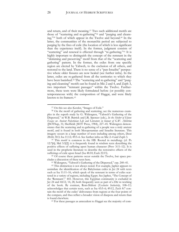and return, and of their meaning.[57](#page-28-0) Two such additional motifs are those of "scattering and re-gathering"[58](#page-28-1) and "purging and cleansing,"[59](#page-28-2) both of which appear in the Twelve and beyond.[60](#page-28-3) In the latter, the communities of the monarchic period are subjected to purging by the fires of exile (the location of which is less significant than the experience itself). In the former, judgment consists of "scattering" and renewal is effected through "re-gathering."[61](#page-28-4) It is highly important to distinguish the concept of the remnant in the "skimming and preserving" motif from that of the "scattering and gathering" pattern. In the former, the exiles from one specific region are elected by Yahweh, to the exclusion of all others, and restored to the land. There is no sense of a "pan-Israelite" perspective where older fissures are now healed (see further infra). In the latter, exiles are re-gathered from all the territories to which they have been banished.<sup>[62](#page-28-5)</sup> The "scattering and re-gathering" and "purging and cleansing" motifs can be found in Mic 2 and 4, and Zeph 3, two important "remnant passages" within the Twelve. Furthermore, these texts were likely formulated before (or possibly contemporaneous with) the composition of Haggai, and were likely known to its framers.<sup>[63](#page-28-6)</sup>

<span id="page-28-2"></span><sup>59</sup> This motif is common in the HB. Rooted in metallurgy (cf. Ps 12:7[6]; Mal 3:3[2]) it is frequently found in wisdom texts describing the positive effects of suffering upon human character (Prov 3:11–12). It is used in the prophetic literature to describe the restorative effects of the sufferings of exile upon Israel (Isa 48:10; Ezek 22:15).

<span id="page-28-3"></span><sup>60</sup> Of course these patterns occur outside the Twelve, but space precludes a discussion of these texts here.

<sup>61</sup> Widengren, "Yahweh's Gathering of the Dispersed," esp. 240–41.

<span id="page-28-6"></span><sup>63</sup> For these passages as antecedent to Haggai see the majority of com-

<sup>57</sup> On this see also Kessler, "Images of Exile."

<span id="page-28-1"></span><span id="page-28-0"></span><sup>58</sup> On the motif of gathering and scattering, see the numerous examples in the superb study by G. Widengren, "Yahweh's Gathering of the Dispersed," in W.B. Barrick and J.R. Spencer (eds.), *In the Shelter of Elyon: Essays on Ancient Palestinian Life and Literature in honour of G.W. Ahlström* (JSOTSup, 31; Sheffield: JSOT Press, 1984), 227–45. Widengren demonstrates that the scattering and re-gathering of a people was a truly ancient motif, and is found in both Mesopotamian and Israelite literature. This imagery occurs in a large number of texts including among others, Deut 28:64; 30:3; Isa 11:12; 49:5–6. See further infra on Mic 2–4 and Zeph 3*.*

<span id="page-28-5"></span><span id="page-28-4"></span><sup>&</sup>lt;sup>62</sup> This distinction is not always noted. For example, Japhet appears to assimilate the identification of the Babylonian exiles in Jer 24 with texts such as Isa 11:11–16, which speak of the remnant in terms of exiles scattered in a variety of regions, including Egypt. See Japhet, "The Concept of the 'Remnant'," 443. However, this Egyptian community is excluded in Jer 24 and 44:12, 14, 28, both frequently seen as part of a Dtr re-working of the book. By contrast, Rom-Shiloni (*Exclusive Inclusivity*, 108–11) acknowledges that certain texts, such as Isa 43:5–6; 49:12, Zech 8:7 contain the motif of the exiles' deliverance from regions at the four points of the compass, and thus reflect a broader vision of diaspora and return than is found elsewhere.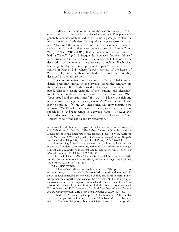In Micah, the theme of gathering the scattered ones (2:12–13) opens the first of the book's oracles of salvation.[64](#page-29-0) This passage is generally seen as closely linked to 4:6–7. Both passages contain the term שארית and both describe a glorious post-catastrophe situation.[65](#page-29-1) In 4:6–7 the re-gathered ones become a remnant. Prior to such a transformation, they were merely those who "limped" and "strayed" (Heb. עצל), that is those whom Yahweh himself had "afflicted" (רעע). Subsequently, however, Yahweh himself transforms them into a remnant.<sup>[66](#page-29-2)</sup> As Delbert R. Hillers notes, the description of the remnant here appears to include all who had been engulfed by the catastrophes of the past.<sup>[67](#page-29-3)</sup> Such a pattern is echoed in Hag 1:12–14 where Yahweh stirs up of the hearts of "this people," moving them to obedience. Only then are they described by the term שארית.

A second important remnant context is Zeph 3:11–13, immediately preceding Haggai in the Twelve. Here, the remnant are those who are left after the proud and arrogant have been extirpated. This is a classic example of the "purging and cleansing" motif alluded to above. Yahweh states that he will remove (אסיר) "your proud and arrogant ones" (עליזי גאותך likely the rich and upper classes) purging them away, leaving (שאר $($ שאר $)$  only a humble and lowly people (עם עני ודל וחסו). These ones, who now constitute the remnant (שארית), will be characterized by righteous deeds and pure speech (3:13) and take refuge in Yahweh's name (יהוה בשם וחסו 3:12). Moreover, the remnant concept in Zeph 3 evokes a "pan-Israelite" view of the nation and its restoration.<sup>68</sup>

<span id="page-29-1"></span><sup>65</sup> See D.R. Hillers, *Micah* (Hermeneia; Philadelphia: Fortress, 1984), 38–39. On the interpretation and dating of these passages see McKane, *The Book of Micah*, 87–94, 127–134.

 $^{66}$  Heb. לשארית שים.

 $\overline{a}$ 

<span id="page-29-3"></span><span id="page-29-2"></span><sup>67</sup> Hillers (*Micah*, 54) appropriately comments, "The people . . . not separate groups, but the whole, is wounded, strayed, and removed far away. Yahweh himself is the one who has done this harm to them. But he will gather them together and make of them a 'remnant', that is a group of survivors who carry the hope of continued and renewed life in them." See also, on the theme of the reunification of all the dispersed ones of Israel, F.I. Andersen and D.N. Freedman, *Micah: A New Translation with Introduction and Commentary* (AB, 24E; New York: Doubleday, 2000), 337–39.

<sup>68</sup> Ehud Ben Zvi states that Zeph 3:13 clearly refers to "the humble and poor people that will be in Jerusalem. Thus Israel there is obviously not the Northern Kingdom, but a religious, ideological concept that

mentators. For all these texts as part of the literary output of post-monarchic Yehud see E. Ben Zvi, "The Urban Centre of Jerusalem and the Development of the Literature of the Hebrew Bible," in W.E. Aufrecht, N.A. Mirau, and S.W. Gauley (eds.), *Urbanism in Antiquity: From Mesopotamia to Crete* (JSOTSup, 244; Sheffield: JSOT Press, 1997), 194–209.

<span id="page-29-0"></span><sup>64</sup> I am reading 2:12–13 as an oracle of hope, following Rashi, and the majority of modern commentators, rather than an oracle of doom (so Kimchi, and a minority of moderns). See further W. McKane, *The Book of Micah* (Edinburgh: T&T Clark, 1998), 87–94.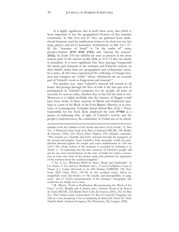It is highly significant that in both these texts, that which is most important is not the geographical location of this remnant community. In Mic 2:12 and 4:7 they are gathered from undisclosed locations (and the implication seems to be from not one but many places) and led to Jerusalem. Furthermore, in Mic 5:6–7 [7– 8], the "remnant of Israel" is "in the midst of" many peoples/nations (רבים עמים בקרב (and "among the nations" (בגוים(. In Zeph 3:10 the faithful are seen as present in the most remote parts of the ancient world, while in 3:12–13 they are clearly in Jerusalem. It is most significant that these passages foreground the nature and character of the remnant, and Yahweh's activity on their behalf, rather than any geographical and exclusionary issues. In a sense, all who have experienced the sufferings of foreign invasion and conquest are "exiles" whose tribulations are an essential part of Yahweh's work or forgiveness and renewal.<sup>69</sup>

Put another way, since Yahweh's renewal will extend to all Israel, and passage through the fires of exile is the sine qua non of participation in Yahweh's purposes for his people, all must of necessity be seen as exiles, whether they in fact left the land or not. Moreover, it is highly probable that the framers of Haggai would have been aware of these sections of Micah and Zephaniah (perhaps as a part of the Book of the Four [Rainer Albertz], or as crea-tions of contemporary Yehudite literati [Ehud Ben Zvi]).<sup>[70](#page-30-0)</sup> Those responsible for the book likely employed the term שארית as a means of indicating that, in light of Yahweh's activity and the people's responsiveness, the community in Yehud was to be identi-

<sup>69</sup> See A. Lo, "Remnant Motif in Amos, Micah and Zephaniah," in J.A. Grant, A. Lo, and G.J. Wenham (eds.), *A God of Faithfulness: Essays in Honour of J. Gordon McConville on his 60th Birthday* (LHBOTS, 538, New York: T&T Clark, 2011), 130–48. In this excellent study, Alison Lo insightfully notes the themes of "the totality and inescapability of judgment" and of "God's transformation of the remnant." Geography and exclusivity are simply not at issue.

<span id="page-30-0"></span><sup>70</sup> R. Albertz, "Exile as Purification: Reconstructing the 'Book of the Four'," in P.L. Redditt and A. Schart (eds.), *Thematic Threads in the Book of the Twelve* (BZAW, 325; Berlin/New York: de Gruyter, 2003), 232–51; Ben Zvi, "The Urban Centre of Jerusalem"; E. Ben Zvi and J.D. Nogalski, *Two Sides of a Coin: Juxtaposing Views on Interpreting the Book of the Twelve/the Twelve Prophetic Books* (Analecta Gorgiana, 201; Piscataway, NJ: Gorgias, 2009).

includes both the children of the North and those of the South." E. Ben Zvi, *A Historical-Critical Study of the Book of Zephaniah* (BZAW, 198; Berlin: de Gruyter, 1992), 234. Floyd (*Minor Prophets*, 235) similarly concludes, "The creation of a 'humble and lowly' remnant through the purgation of the 'proud and haughty' from Yahweh's 'holy mountain' recalls the punishment directed against the temple and court establishment in 1:4b and 1:8–9. The whole notion of the remnant is extended by referring it to 'Israel' (v. 13) indicating that the new existence of Yahweh's people will not be any mere reconstitution of the state of Judah but rather a recreation in some new form of the ancient entity that predated the separation of the northern from the southern kingdom."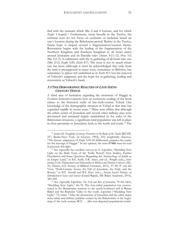fied with the remnant which Mic 2 and 4 foresaw, and for which Zeph 3 hoped.[71](#page-31-0) Furthermore, more broadly in the Twelve, the remnant texts do not focus on exclusion or inclusion based on one's location during the Babylonian period. Rather in the Twelve, future hope is shaped around a fragmentation/reunion theme. Restoration begins with the healing of the fragmentation of the Northern Kingdom and Southern Kingdom as all Israel unites around Jerusalem and its Davidic ruler (Amos 9:11–12; Hos 3:5; Mic 5:2–5). It culminates with the re-gathering of all Israel into one (Mic 2:12; Zeph 3:20; Zech 8:7). The issue is not so much where one has been (although it must be acknowledged that exile from the land is presupposed in many texts, sometimes to Babylon, but sometimes to places left undefined as in Zech 8:7) but the removal of Yahweh's judgment, and the hope for re-gathering, healing and restoration, at Yahweh's hand.

### 3.3 THE DEMOGRAPHIC REALTIES OF LATE-SIXTH-CENTURY YEHUD

 $\overline{a}$ 

A third area of hesitation regarding the treatment of Haggai in *Exclusive Inclusivity* concerns how an exclusivist reading of the book relates to the historical realia of late-sixth-century Yehud. Our knowledge of the demographic situation in Yehud at that time has expanded rapidly in recent years.[72](#page-31-1) Many now affirm that although the urban centre of Jerusalem and several other military sites were devastated and remained largely uninhabited in the wake of the Babylonian invasions, a significant rural population was left in place in close proximity to Jerusalem, both to the north and south.[73](#page-31-2) The

<span id="page-31-0"></span><sup>71</sup> James D. Nogalski (*Literary Precursors to the Book of the Twelve* [BZAW, 217; Berlin/New York: de Gruyter, 1993], 235) insightfully observes, "The literary adaptation of Zeph 3:18–20 deliberately prepares the reader for the message of Haggai." In my opinion, the term שארית must be read in precisely this light.

<span id="page-31-1"></span><sup>&</sup>lt;sup>72</sup> See especially the excellent surveys in O. Lipschits, "Shedding New Light on the Dark Years of the 'Exilic Period': New Studies, Further Elucidation and Some Questions Regarding the Archaeology of Judah as an Empty Land," in B.E. Kelle, F.R. Ames, and J.L. Wright (eds.), *Interpreting Exile: Displacement and Deportation in Biblical and Modern Contexts* (AIL, 10; Atlanta, GA: Society of Biblical Literature, 2011), 57–90; P. van der Veen, "Sixth-Century Issues: the Fall of Jerusalem, the Exile, and the Return," in B.T. Arnold and R.S. Hess (eds.), *Ancient Israel's History: an Introduction to Issues and Sources* (Grand Rapids, MI: Baker Academic, 2014), 383–405.

<span id="page-31-2"></span><sup>73</sup> See especially Lipschits, *The Fall and Rise of Jerusalem*, 79–84; idem, "Shedding New Light," 66–78. The non-exiled population was concentrated in the Benjaminite territory to the north/northeast and at Ramat Raḥel and the Rephaim Valley to the south. Lipschits ("Shedding New Light," 73) states, "After the destruction of Jerusalem and the other major main urban and military Judahite centers by the Babylonians at the beginning of the sixth century BCE . . . [the non-deported population] contin-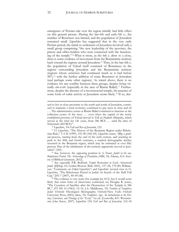emergence of Persian rule over the region initially had little effect on this general picture. During the late-6th and early-5th c., the number of Returnees was limited, and the population of Jerusalem remained small. Lipschits has suggested that in the very early Persian period, the initial re-settlement of Jerusalem involved only a small group comprising "the new leadership of the province, the priests and office-holders who were connected with the functioning of the temple."[74](#page-32-0) What is more, as the 6th c. drew to a close, there is some evidence of movement from the Benjaminite territory back toward the regions around Jerusalem.[75](#page-32-1) Thus, in the late-6th c. the population of Yehud itself consisted of Remainees in the regions surrounding Jerusalem and the Benjaminite territory (regions whose existence had continued much as it had before 587),[76](#page-32-2) with the further addition of some Returnees in Jerusalem (and perhaps some other regions). As stated above, there is no evidence for any conflict between these groups, despite living virtually *côte-à-côte* (especially in the area of Ramat Raḥel).<sup>[77](#page-32-3)</sup> Furthermore, despite the absence of a reconstructed temple, the practice of some form of cultic activity at Jerusalem seems likely.[78](#page-32-4) If so, dur-

ued to live in close proximity to the north and south of Jerusalem, continued to maintain a rural economy, continued to pay taxes in wine and oil . . . The administrative center at Ramat Raḥel continued to function as the collection center of the taxes . . . even when the capital of the newly established province of Yehud moved to Tell en-Naṣbeh (Mizpah), which served as the *bîrah* for 141 years, from 586 BCE . . . until the time of Nehemiah (445 BCE)".

<sup>74</sup> Lipschits, *The Fall and Rise of Jerusalem*, 125.

<span id="page-32-1"></span><span id="page-32-0"></span><sup>75</sup> O. Lipschits, "The History of the Benjamin Region under Babylonian Rule," *TA* 26 (1999), 155–90 (182–85). Lipschits states, "[B]y a gradual process, starting from the end of the sixth century, and reaching its peak in the fifth and fourth centuries, a marked demographic decline occurred in the Benjamin region, which may be estimated at over fifty percent. Part of the inhabitants of the territory apparently moved to Jerusalem" (185).

<span id="page-32-2"></span><sup>76</sup> See, however, the opposing position in A. Faust, *Judah in the neo-Babylonian Period: The Archaeology of Desolation (*ABS, 18; Atlanta, GA: Society of Biblical Literature, 2012).

<span id="page-32-3"></span><sup>77</sup> See especially P.R. Bedford, *Temple Restoration in Early Achaemenid Judah* (JSJSup, 65; Leiden/Boston: Brill, 2001), 157–58, 179–80; Williamson, "Comments on Oded Lipschits"; and Lipschits' revised view in O. Lipschits, "The Babylonian Period in Judah: In Search of the Half Full Cup," *JHS* 7 (2007), 40–49 (48).

<span id="page-32-4"></span><sup>78</sup> The evidence is very scant (for example Jer 41:5), but it would seem likely that some form of observance continued, see Douglas R. Jones, "The Cessation of Sacrifice after the Destruction of the Temple in 586 BC," *JTS* NS 14 (1963), 12–31; J.A. Middlemas, *The Troubles of Templeless Judah* (Oxford Theological Monographs; Oxford/New York: Oxford University Press, 2005); idem, *The Templeless Age: An Introduction to the History, Literature, and Theology of the "Exile*,*"* 1st ed. (Louisville, KY: Westminster John Knox, 2007). Lipschits (*The Fall and Rise of Jerusalem*, 112–18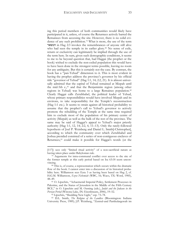ing this period members of both communities would likely have participated in it, unless, of course the Returnees actively barred the Remainees from accessing the site. However, there is no solid evidence of any such prohibition.[79](#page-33-0) What is more, the use of the term הנשאר in Hag 2:3 invokes the remembrances of anyone still alive who had seen the temple in its earlier glory.<sup>[80](#page-33-1)</sup> No sense of exile, return or exclusivity can legitimately be implied through the use of the term here. In sum, given such demographic conditions, it seems to me to be beyond question that, had Haggai (the prophet or the book) wished to exclude the non-exiled population this would have to have been done in the strongest terms possible, leaving no room for any ambiguity. But this is certainly not the case. By contrast, the book has a "pan-Yehud" dimension to it. This is most evident in having the prophet address the province's governor by his official title "governor of Yehud" (Hag 1:1, 14; 2:2, 21). It is almost universally admitted that the capital of Yehud remained at Mizpah until the mid-5th c.,<sup>81</sup> and that the Benjaminite region (among other regions in Yehud) was home to a large Remainee population.<sup>82</sup> Clearly Haggai calls Zerubbabel, the political leader of Yehud, whose primary responsibilities would have involved Mizpah and its environs, to take responsibility for the Temple's reconstruction (Hag 1:1 etc.). It seems to strain against all historical probability to assume that the prophet's call to Yehud's governor to actively promote the rebuilding of the Temple at the same time required him to exclude most of the population of his primary centre of activity (Mizpah) as well as the bulk of the rest of the province. The

same may be said of Haggai's appeal to Yehud's major priestly authority (Hag 1:1, 12, 14; 2:2, 4, 11–13). Only the rarely-followed hypothesis of Joel P. Weinberg and Daniel L. Smith[-Christopher], according to which the community over which Zerubbabel and Joshua presided consisted of a series of non-contiguous enclaves of Returnees,<sup>83</sup> could make it possible for Haggai's words (or the

<sup>[117])</sup> sees only "limited ritual activity" of a non-sacrificial nature as having taken place under Babylonian rule.

<span id="page-33-0"></span> $79$  Arguments for intra-communal conflict over access to the site of the former temple at this early period based on Isa 63:18 seem unconvincing.

<span id="page-33-1"></span><sup>80</sup> This is, of course, a representation which occurs within the dramatic flow of the book. I cannot enter into a discussion of its historical probability here. Williamson sees Ezra 3 as having been based on Hag 2, cf. H.G.M. Williamson, *Ezra–Nehemiah* (WBC, 16; Waco, TX: Word, 1985), 48–49.

<sup>81</sup> O. Lipschits, "Achaemenid Imperial Policy, Settlement Processes in Palestine, and the Status of Jerusalem in the Middle of the Fifth Century BCE," in O. Lipschits and M. Oeming (eds.), *Judah and the Judeans in the Persian Period* (Winona Lake, IN: Eisenbrauns, 2006), 19–52.

<sup>82</sup> Lipschits, "Shedding New Light," esp. 73–78.

<sup>83</sup> D.L. Smith, *The Religion of the Landless* (Bloomington: Indiana University Press, 1989); J.P. Weinberg, "Zentral-und Partikulargewalt im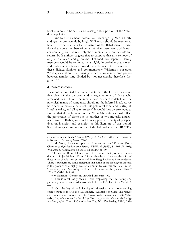book's intent) to be seen as addressing only a portion of the Yehudite population.

One further element, pointed out years ago by Martin Noth, and again more recently by Hugh Williamson should be mentioned here.<sup>[84](#page-34-0)</sup> It concerns the selective nature of the Babylonian deportations (i.e., some members of certain families were taken, while others were left), and the relatively short interval between the exile and return. Both authors suggest that to suppose that at a remove of only a few years, and given the likelihood that separated family members would be re-united, it is highly improbable that violent and malevolent relations would exist between the members of these divided families and communities.[85](#page-34-1) Williamson observes, "Perhaps we should be thinking rather of welcome-home parties between families long divided but not necessarily, therefore, forgotten."[86](#page-34-2)

#### **4. CONCLUSIONS**

 $\overline{a}$ 

It cannot be doubted that numerous texts in the HB reflect a positive view of the diaspora and a negative one of those who remained. Rom-Shiloni documents these instances in detail. Yet the polemical nature of some texts should not be inferred in all. As we have seen, numerous texts lack this polemical tone, and portray all Israel as exiles, and all as returnees.[87](#page-34-3) It would thus be erroneous to assume that all the literature of the 7th to 4th centuries must reflect the perspective of either one or another of two mutually antagonistic groups. Rather, we should presuppose a diversity of perspectives on inclusion and exclusion in this literature of this period. Such ideological diversity is one of the hallmarks of the HB.[88](#page-34-4) The

<sup>86</sup> Williamson, "Comments on Oded Lipschits," 39.

achämenidischen Reich," *Klio* 59 (1977), 25–43. See further the discussion in Kessler, *The Book of Haggai*, 77–78.

<span id="page-34-0"></span><sup>84</sup> M. Noth, "La catastrophe de Jérusalem en l'an 587 avant Jésus-Christ et sa signification pour Israël," *RHPR* 33 (1953), 81–102 (98–102); Williamson, "Comments on Oded Lipschits," 36–39.

<span id="page-34-1"></span><sup>&</sup>lt;sup>85</sup> Of course, Rom-Shiloni is correct to observe that profound animus does exist in Jer 24, Ezek 11 and 33, and elsewhere. However, the spirit of these texts should not be imported into Haggai without firm evidence. There is furthermore some indication that some of the ideology in Ezekiel is the product of a highly isolated community. On this see L.E. Pearce, "Continuity and Normality in Sources Relating to the Judean Exile," *HBAI* 3 (2014), 163–84.

<span id="page-34-3"></span><span id="page-34-2"></span><sup>&</sup>lt;sup>87</sup> This is most easily seen in texts employing the "scattering and gathering" motif, described above, cf. Is 11:12; 49:5; Jer 40:12; Mic 2:12; 4:6.88 On theological and ideological diversity as an over-arching

<span id="page-34-4"></span>characteristic of the HB see J.A. Sanders, "Adaptable for Life: The Nature and Function of Canon," in F.M. Cross, W.E. Lemke, and P.D. Miller (eds.), *Magnalia Dei, the Mighty Acts of God: Essays on the Bible and Archaeology in Memory of G. Ernest Wright* (Garden City, NY: Doubleday, 1976), 531–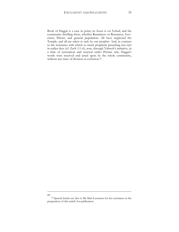Book of Haggai is a case in point; its focus is on Yehud, and the community dwelling there, whether Remainees or Returnees, Governor, Priests, and general population. All have neglected the Temple, and all are taken to task by our prophet. And, in contrast to the resistance with which so much prophetic preaching was met in earlier days (cf. Zech 1:1–6), now, through Yahweh's initiative, in a time of restoration and renewal under Persian rule, Haggai's words were received and acted upon by the whole community, without any trace of division or exclusion.<sup>[89](#page-35-0)</sup>

 $\overline{a}$ 60.

<span id="page-35-0"></span><sup>89</sup> Special thanks are due to Ms Mari Leesment for her assistance in the preparation of this article for publication.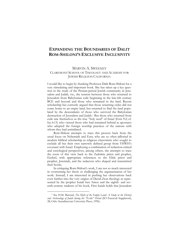# **EXPANDING THE BOUNDARIES OF DALIT ROM-SHILONI'S EXCLUSIVE INCLUSIVITY**

#### MARVIN A. SWEENEY

### CLAREMONT SCHOOL OF THEOLOGY AND ACADEMY FOR JEWISH RELIGION CALIFORNIA

I would like to begin by thanking Professor Dalit Rom-Shiloni for a very stimulating and important book. She has taken up a key question in the study of the Persian-period Jewish community in Jerusalem and Judah, viz., the tension between those who returned to Jerusalem from Babylonian exile beginning in the late-6th century BCE and beyond and those who remained in the land. Recent scholarship has correctly argued that those returning exiles did not come home to an empty land, but returned to find the land populated by the descendants of those who survived the Babylonian destruction of Jerusalem and Judah.[1](#page-37-0) But those who returned from exile saw themselves as the true "holy seed" of Israel (Ezra 9:2; cf. Isa 6:13) who viewed those who had remained behind as apostates who adopted the foreign worship practices of the nations with whom they had assimilated.

Rom-Shiloni attempts to trace this process back from the usual focus on Nehemiah and Ezra, who are so often pilloried in modern biblical scholarship as religious chauvinists who sought to exclude all but their own narrowly defined group from YHWH's covenant with Israel. Employing a combination of redaction-critical and sociological perspectives, among others, she attempts to trace the roots of this view back to the Zadokite priest and prophet, Ezekiel, with appropriate references to the Elide priest and prophet, Jeremiah, and the redactors who shaped and transmitted their books.

In critiquing Rom-Shiloni's work, I am not so much interested in overturning her thesis or challenging the argumentation of her work. Instead, I am interested in pushing her observations back even further into the very origins of David-Zion theology as represented by the prophet Isaiah ben Amoz and the eighth- and seventh-century tradents of his book. First Isaiah holds that Jerusalem

<span id="page-37-0"></span><sup>1</sup> See H.M. Barstad, *The Myth of the Empty Land: A Study in the History and Archaeology of Judah during the "Exilic" Period* (SO Fasciculi Suppletorii, 28; Oslo: Scandinavian University Press, 1996).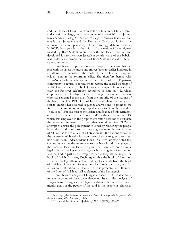and the House of David function as the holy center of Judah/Israel and creation at large, and the account of Hezekiah's and Jerusalem's survival during Sennacherib's siege reinforces that view and entails that Jerusalem and the House of David would form the remnant that would play a key role in restoring Judah and Israel as YHWH's holy people in the midst of the nations.[2](#page-38-0) Later figures treated by Rom-Shiloni interacted with the Isaiah tradition and developed it into their own Jerusalem-centric views of the Babylonian exiles who formed the basis of Rom-Shiloni's so-called Repatriate community.

Rom-Shiloni proposes a reversed sequence analysis that begins with the latest literature and moves back to earlier literature in an attempt to reconstruct the roots of the exclusivist viewpoint evident among the returning exiles. She therefore begins with Ezra–Nehemiah, which recounts the return of the Repatriate community to return to Jerusalem to restore the sacred worship of YHWH in the recently rebuilt Jerusalem Temple. She notes especially the Passover celebration recounted in Ezra 6:19–22 which emphasizes the role played by the returning exiles as well as those who had separated themselves from the impurity of the nations of the land to seek YHWH, G-d of Israel. Rom-Shiloni is surely correct to employ her reversed sequence analysis and to point to the Repatriate community as a group that saw itself as the so-called "holy seed." But she misses the Isaian significance of this terminology. The reference to the "holy seed" is drawn from Isa 6:13, which was employed in the prophet's vocation account to designate the so-called remnant of Israel that would survive YHWH's attempt to ensure the punishment of Israel by rendering the people blind, deaf, and dumb, so that they might witness the true identity of YHWH as the true G-d of all creation and the nations as well as the redeemer of Israel who would exercise sovereignty over crea-tion from Zion. Indeed, Klaus Koch, in a 1974 article,<sup>[3](#page-38-1)</sup> noted this citation as well as the references to the New Exodus language of the book of Isaiah in Ezra 9 to posit that Ezra was not a simple legalist, but a theologian and exegete whose program of restoration was inspired in part by the Prophets, particularly his reading of the book of Isaiah. In short, Koch argued that the book of Ezra presented a theologically-reflective reading of elements from the book of Isaiah as important foundations for Ezra's own program for return and restoration, i.e., Ezra's return is presented as fulfillment of the Book of Isaiah as well as element of the Pentateuch.

Rom-Shiloni's analysis of Haggai and Zech 1–8 likewise needs to take account of their dependence on Isaiah. Her analysis of Haggai correctly argues that Haggai addresses the Repatriate community and not the people of the land in the prophet's efforts to

<span id="page-38-1"></span><span id="page-38-0"></span><sup>2</sup> See, e.g., J.D. Levenson, *Sinai and Zion: An Entry into the Jewish Bible* (Minneapolis, MN: Winston, 1985).

<sup>3</sup> "Ezra and the Origins of Judaism," *JSS* 19 (1974), 173–97.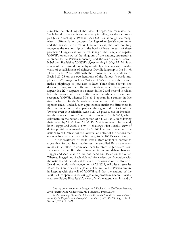stimulate the rebuilding of the ruined Temple. She maintains that Zech 1–8 displays a universal tendency in calling for the nations to join Jews in seeking YHWH in Zech 8:20–23, although she recognizes a differentiation between the Repatriate Jewish community and the nations before YHWH. Nevertheless, she does not fully recognize the relationship with the book of Isaiah in each of these prophets.[4](#page-39-0) Haggai's call for the rebuilding of the Temple anticipates YHWH's overthrow of the kingdom of the nations, apparently a reference to the Persian monarchy, and the restoration of Zerubbabel ben Shealtiel as YHWH's signet or king in Hag 2:2–24. Such a view of the restored monarchy is entirely in keeping with Isaiah's views of establishment of righteous Davidic kingship in Isa 9:1–6; 11:1–16; and 32:1–8. Although she recognizes the dependence of Zech 8:20–23 on the two iterations of the famous "swords into plowshares" passage in Isa 2:2–4 and 4:1–5 in which the nations make a pilgrimage to Jerusalem to learn Torah from YHWH, she does not recognize the differing contexts in which these passages appear. Isa 2:2–4 appears in a context in Isa 2 and beyond in which both the nations and Israel suffer divine punishment before both recognize YHWH, whereas Mic 4:1–5 appears in a context in Mic 4–5 in which a Davidic Messiah will arise to punish the nations that oppress Israel.[5](#page-39-1) Indeed, such a perspective marks the differences in the interpretation of this passage throughout the Book of the Twelve; even in Zechariah, Zech 8:20–23 plays a role in introducing the so-called Proto-Apocalyptic segment in Zech 9–14, which culminates in the nations' recognition of YHWH at Zion following their defeat by YHWH and YHWH's Davidic monarch. In the end, both Haggai and Zech 1–8/9–14 challenge First Isaiah's view of divine punishment meted out by YHWH to both Israel and the nations to call instead for the Davidic-led defeat of the nations that oppress Israel so that they might recognize YHWH's sovereignty.

In her treatment of exilic Isaiah, Rom-Shiloni is correct to argue that Second Isaiah addresses the so-called Repatriate community in an effort to convince them to return to Jerusalem from Babylonian exile. But she misses an important debate between Haggai and Zechariah on the one hand and Isaiah on the other. Whereas Haggai and Zechariah call for violent confrontation with the nations and their defeat to win the restoration of the House of David and world-wide recognition of YHWH, exilic Isaiah (see Isa 44:28; 45:1) anticipates that Jews will submit to the Persian empire in keeping with the will of YHWH and that the nations of the world will cooperate in restoring Jews to Jerusalem. Second Isaiah's view conditions First Isaiah's view of such matters, viz., instead of

<span id="page-39-0"></span><sup>4</sup> See my commentaries on Haggai and Zechariah in *The Twelve Prophets*, 2 vol. (Berit Olam; Collegeville, MN: Liturgical Press, 2000).

<span id="page-39-1"></span><sup>5</sup> M.A. Sweeney, "Micah's Debate with Isaiah," in idem, *Form and Intertextuality in Prophetic and Apocalyptic Literature* (FAT, 45; Tübingen: Mohr Siebeck, 2005), 210–21.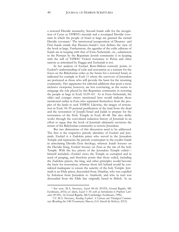a restored Davidic monarchy, Second Isaiah calls for the recognition of Cyrus as YHWH's messiah and a revamped Davidic covenant in which the people of Israel at large are granted the eternal Davidic covenant.[6](#page-40-0) The intertextual juxtaposition of Deutero- and First Isaiah entails that Deutero-Isaiah's view defines the view of the book at large. Furthermore, the agendas of the exilic editions of Isaiah are in keeping with that of Ezra–Nehemiah, viz., submission to the Persians by the Repatriate Jewish community is in keeping with the will of YHWH. Violent resistance to Persia and other nations as articulated by Haggai and Zechariah is not.

In her analysis of Ezekiel, Rom-Shiloni correctly points to Ezekiel's understanding of exile and restoration as a warrant for the focus on the Babylonian exiles as the future for a restored Israel, as indicated for example in Ezek 11 where the survivors of Jerusalem are portrayed as those who will provide the basis for the returning community. Her arguments for editorial additions that posit a more inclusive viewpoint, however, are less convincing, as she seems to misgauge the role played by this Repatriate community in restoring the people at large in Ezek 16:59–63.[7](#page-40-1) As in Ezra–Nehemiah, the older and younger sisters mentioned here would indicate those mentioned earlier in Ezra who separated themselves from the peoples of the lands to seek YHWH. Likewise, the images of restoration in Ezek 34–39 portend purification of the land from the dead and the restoration of Joseph/Israel and Judah to prepare for the restoration of the Holy Temple in Ezek 40–48. She also deftly works through the convoluted redaction history of Jeremiah in an effort to argue that the book of Jeremiah ultimately envisions the return of the Babylonian community to restore Jerusalem.

But two dimensions of this discussion need to be addressed. The first is the respective priestly identities of Ezekiel and Jeremiah. Ezekiel is a Zadokite priest who served in the Jerusalem Temple and represents the priestly counterpart to the royalist Isaiah in articulating Davidic-Zion theology; whereas Isaiah focuses on the Davidic King, Ezekiel focuses on Zion as the site of the holy Temple. With the key priests of the Jerusalem Temple exiled himself included—Ezekiel views the Temple as corrupted and in need of purging, and therefore posits that those exiled, including the Zadokite priests, the king, and other principles would become the basis for restoration, whereas those left behind would be considered inadequate to ensure the sanctity of the holy Temple. Jeremiah is an Elide priest, descended from Abiathar, who was expelled by Solomon from Jerusalem to Anathoth, and who in turn was descended from the Elide line originally based in Shiloh. As an

<span id="page-40-0"></span><sup>6</sup> See now, M.A. Sweeney, *Isaiah 40–66* (FOTL; Grand Rapids, MI: Eerdmans, 2016); cf. idem, *Isaiah 1*–*39, with an Introduction to Prophetic Literature* (FOTL, 16; Grand Rapids, MI/Cambridge: Eerdmans, 1996).

<span id="page-40-1"></span><sup>7</sup> Cf. M.A. Sweeney, *Reading Ezekiel: A Literary and Theological Commentary* (Reading the Old Testament; Macon, GA: Smyth & Helwys, 2013).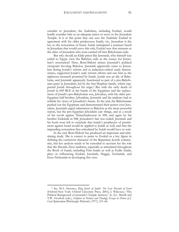outsider to Jerusalem, the Zadokites, including Ezekiel, would hardly consider him as an adequate priest to serve in the Jerusalem Temple. It is at this point that one sees the Zadokite Ezekiel in agreement with his older predecessor Isaiah, viz., Jerusalem is the key to the restoration of Israel. Isaiah anticipated a remnant based in Jerusalem that would serve this role; Ezekiel sees that remnant as the elites of Jerusalem who were carried off into Babylonian exile.

But why should an Elide priest like Jeremiah, who himself was exiled to Egypt, view the Babylon exile as the source for Jerusalem's restoration? Here, Rom-Shiloni misses Jeremiah's political viewpoint favoring Babylon. Jeremiah apparently came to Jerusalem during Josiah's reform and as redaction-critical study demonstrates, supported Josiah's early reform efforts and saw him as the righteous monarch promised by Isaiah. Josiah was an ally of Babylonia, and Jeremiah apparently functioned as part of a pro-Babylonian party in Jerusalem, led by the ben Shaphan family, which supported Josiah throughout his reign.[8](#page-41-0) But with the early death of Josiah in 609 BCE at the hands of the Egyptians and the replacement of Josiah's pro-Babylonian son, Jehoahaz, with his older pro-Egyptian half-brother, Jehoiakim, Jeremiah and his tradents had to rethink his views of Jerusalem's future. In the end, the Babylonians pushed out the Egyptians and demonstrated their power over Jerusalem. Jeremiah urged submission to Babylon as the more powerful nation, but the pro-Egyptian Jehoiakim saw things, and as a result of his revolt against Nebuchadnezzar in 598, and again by his brother Zedekiah in 588, Jerusalem's fate was sealed. Jeremiah and his book were left to conclude that Isaiah's prophecies of punishment against Israel would be applied to Judah as well, and that the impending restoration first articulated by Isaiah would have to wait.

In the end, Rom-Shiloni has produced an important and stimulating study. She is correct to point to Ezekiel as a key figure in defining the exclusivist character of the Repatriate Jewish community, but her analysis needs to be extended to account for the role that the Davidic-Zion tradition, especially as articulated throughout the Book of Isaiah, including First Isaiah as well as Exilic Isaiah, plays in influencing Ezekiel, Jeremiah, Haggai, Zechariah, and Ezra–Nehemiah in developing this view.

<span id="page-41-0"></span><sup>8</sup> See M.A. Sweeney, *King Josiah of Judah: The Lost Messiah of Israel*  (Oxford/New York: Oxford University Press, 2001); J. Wilcoxen, "The Political Background of Jeremiah's Temple Sermon," in A.L. Merrill and T.W. Overholt (eds.), *Scripture in History and Theology: Essays in Honor of J. Coert Rylaarsdam* (Pittsburgh: Pickwick, 1977), 151–66.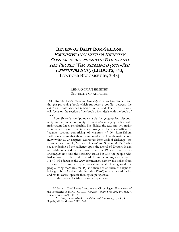# **REVIEW OF DALIT ROM-SHILONI,** EXCLUSIVE INCLUSIVITY: IDENTITY CONFLICTS BETWEEN THE EXILES AND THE PEOPLE WHO REMAINED (6TH–5TH CENTURIES BCE) **(LHBOTS, 543; LONDON: BLOOMSBURY, 2013)**

### LENA-SOFIA TIEMEYER UNIVERSITY OF ABERDEEN

Dalit Rom-Shiloni's *Exclusive Inclusivity* is a well-researched and thought-provoking book which proposes a conflict between the exiles and those who had remained in the land. The current review will focus on the section of her book which deals with the book of Isaiah.

Rom-Shiloni's standpoint vis-à-vis the geographical discontinuity and authorial continuity in Isa 40–66 is largely in line with mainstream Israeli scholarship. She divides the text into two major sections: a Babylonian section comprising of chapters 40–48 and a Judahite section comprising of chapters 49–66. Rom-Shiloni further maintains that there is authorial as well as thematic continuity within all 27 chapters. Moreover, Rom-Shiloni challenges the views of, for example, Menahem Haran<sup>[1](#page-43-0)</sup> and Shalom M. Paul<sup>[2](#page-43-1)</sup> who see a widening of the audience upon the arrival of Deutero-Isaiah in Judah, reflected in the material in Isa 49 and onwards, to encompass not only the returning exiles but also the people who had remained in the land. Instead, Rom-Shiloni argues that *all* of Isa 40–66 addresses the *same* community, namely the exiles from Babylon. The prophet, upon arrival in Judah, first ignored the people living there (Isa 40–48) and then denied them the right to belong to both God and the land (Isa 49–66) unless they adopt his and his followers' specific theological perspective.

In this review, I wish to pose two questions:

<span id="page-43-0"></span><sup>&</sup>lt;sup>1</sup> M. Haran, "The Literary Structure and Chronological Framework of the Prophecies in Is. XL–XLVIII," *Congress Volume, Bonn 1962* (VTSup, 9, Leiden: Brill, 1963), 148–55.

<span id="page-43-1"></span><sup>2</sup> S.M. Paul, *Isaiah 40*–*66: Translation and Commentary* (ECC; Grand Rapids, MI: Eerdmans, 2012), 6–7.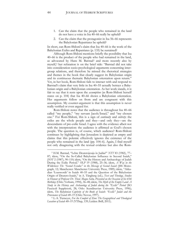- 1. Can the claim that the people who remained in the land do not have a voice in Isa 40–66 really be upheld?
- 2. Can the claim that the protagonist in Isa 56–66 represents the Babylonian Repatriates be upheld?

In short, can Rom-Shiloni's claim that Isa 40–66 is the work of the Babylonian Exiles and Repatriates (p. 135) be sustained?

Although Rom-Shiloni mentions briefly the possibility that Isa 40–66 is the product of the people who had remained in the land, as advocated by Hans M. Barstad<sup>[3](#page-44-0)</sup> and more recently also by myself,[4](#page-44-1) her refutation is on the brief side: "Barstad did not take into consideration socio-psychological arguments concerning intergroup relations, and therefore he missed the rhetorical strategies and themes in the book that clearly suggest its Babylonian origin and its continuous thematic Babylonian orientation upon return." Yet, in her book, Rom-Shiloni fails to interact with and respond to Barstad's claim that very little in Isa 40–55 actually betrays a Babylonian origin and a Babylonian orientation. As her work stands, it is fair to say that it rests upon the *assumption* (as Rom-Shiloni herself states on p. 104) that Isa 40–66 shows a Babylonian orientation. Her arguments follow on from and are congruent with this assumption. My counter-argument is that this assumption is never really verified or even argued for.

Rom-Shiloni notes that the audience is throughout Isa 40–66 called "my people," "my servant Jacob/Israel," and "my chosen one." For Rom-Shiloni, this is a sign of *continuity* and *entirety*: the exiles are the whole people and they—and only they—are the descendants of pre-exilic Israel. I agree with the evidence albeit not with the interpretation: the audience is affirmed as God's chosen people. The question is, of course, which audience? Rom-Shiloni continues by highlighting that Jerusalem is depicted as empty and claims that this polemic effectively ignores the existence of the people who remained in the land (pp. 104–6). Again, I find myself not only disagreeing with the textual evidence but also the Rom-

<span id="page-44-0"></span><sup>3</sup> H.M. Barstad, "Lebte Deuterojesaja in Judäa?" *NTT* 83 (1982), 77– 87; idem, "On the So-Called Babylonian Influence in Second Isaiah," *JSOT* 2 (1987), 90–110; idem, "On the History and Archaeology of Judah During the Exilic Period," *OLP* 19 (1988), 25–36; idem, *A Way in the Wilderness: The "Second Exodus" in the Message of Second Isaiah* (JSS Monograph, 12; Manchester: Manchester University Press, 1989); idem, "Akkadian 'Loanwords' in Isaiah 40–55 and the Question of the Babylonian Origin of Deutero-Isaiah," in A. Tångberg (ed.), *Text and Theology, Studies in Honour of Professor Dr. Theol. Magne Sæbø, Presented on the Occasion of his 65th Birthday* (Oslo: Verbum, 1994), 36–48; idem, *The Myth of the Empty Land: A Study in the History and Archaeology of Judah during the "Exilic" Period* (SO Fasciculi Suppletorii, 28; Oslo: Scandinavian University Press, 1996); idem, *The Babylonian Captivity of the Book of Isaiah: "Exilic" Judah and the Provenance of Isaiah 40*–*55* (Oslo: Novus, 1997).

<span id="page-44-1"></span><sup>4</sup> L.-S. Tiemeyer, *For the Comfort of Zion: The Geographical and Theological Location of Isaiah 40*–*55* (VTSup, 139; Leiden: Brill, 2011).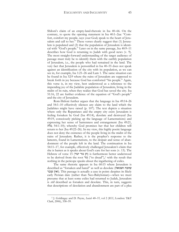Shiloni's claim of an empty-land-rhetoric in Isa 40–66. On the contrary, to quote the opening statement in Isa 40:1–2aa: "Comfort, comfort my people, says your God; speak to the heart of Jerusalem and call to her." These verses clearly suggest that (1) Jerusalem is populated and (2) that the population of Jerusalem is identical with "God's people." Later on in the same passage, Isa 40:9–11 describes how God is returning to Judah with good news (v. 9). The most straight-forward understanding of the target audience of passage must truly be to identify them with the earthly population of Jerusalem, i.e., the people who had remained in the land. The very fact that Jerusalem is personified in Isa 40–55 does not speak against an identification of the city with its population, as we can see in, for example, Isa 1:21–26 and Lam 1. The same situation can be found in Isa 52:9 where the ruins of Jerusalem are supposed to break forth in joy because God has comforted "his people." Again, this verse is, in my view, best understood as a reference to the impending joy of the Judahite population of Jerusalem, living in the midst of its ruin, when they realize that God has saved the city. Isa 51:16, 22 are further evidence of the equation of "God's people" and the city of Jerusalem.

Rom-Shiloni further argues that the language in Isa 49:14–26 and 54:1–10 effectively silences any claim to the land which the Judahites might have raised (p. 107). The text depicts a situation where only the Repatriates and the empty city exist: Jerusalem is feeling forsaken by God (Isa 49:14), desolate and destroyed (Isa 49:19, consciously picking up the language of Lamentations) and expressing her sense of barrenness and estrangement (Isa 49:21, גלה; 54:1–10); whereby God promises her that her children will return to her (Isa 49:22–26). In my view, this highly poetic language does not deny the existence of the people living in the midst of the ruins of Jerusalem. Rather, it is the prophet's response to the laments, found in Lamentations, to the despair and sense of abandonment of the people left in the land. The continuation in Isa 54:11–17, for example, effectively challenged Jerusalem's claim that she is barren as it speaks about God's care for her sons (v. 13). The Hebrew of verse 15 (הן גור יגור) is furthermore better understood to be derived from the root גור") to dread"),[5](#page-45-0) with the result that nothing in the pericope speaks about the ingathering of exiles.

The same rhetoric appears in Isa 60:15 where Jerusalem is described as "forsaken and hated" as well as desolate (ושנואה עזובה ואין עובר). This passage is actually a case in point: despites its likely early Persian date (rather than Neo-Babylonian)—when we must presume that at least some exiles had returned to Judah, Jerusalem is *still* described as forsaken and desolate. This, in turn, suggests that descriptions of desolation and abandonment are part of a plea

<span id="page-45-0"></span><sup>5</sup> J. Goldingay and D. Payne, *Isaiah 40*–*55*, vol 2 (ICC; London: T&T Clark, 2006), 358–59.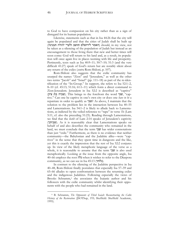to God to have compassion on his city rather than as a sign of disregard for its human population.

Likewise, statements such as that in Isa 44:26 that the city will again be populated and that the cities of Judah shall be built up (האמר לירושלם תושב ולערי יהודה תבנינה) should, in my view, not be taken as a silencing of the population of Judah but instead as an encouragement to those living there that new and better times will soon come: God will return to his land and, as a result, its population will once again live in places teeming with life and prosperity. Pertinently, texts such as Isa 40:9–11; 50:7–10; 51:3 (and the very difficult 41:27) speak of God's return but are notably silent about any return of the exiles (*contra* Rom-Shiloni, p. 107).

Rom-Shiloni also suggests that the exilic community has usurped the names "Zion" and "Jerusalem," as well as the other two terms "Jacob" and "Israel" (pp. 111–18) as part of the re-identification of the "In-Group." In support, she refers to Isa 52:1–2, 8–10 (cf. 45:13; 51:16; 61:1–11) which form a direct command to Zion-Jerusalem. Jerusalem in Isa 52:2 is described as "captive" (שביה בת ציון). This brings to the forefront the word "שבי, "captive." Can one be captive in one's own city or does one *have to be* a repatriate in order to qualify as שבי ?As above, I maintain that the solution to the problem lies in the interaction between Isa 40–55 and Lamentations. Isa 54:1–2 is likely to allude back to Lamentations, as indicted by the veiled reference to "rape" in verse 1b (Lam 5:11, cf. also the preceding 51:23). Reading through Lamentations, we find that the *ketib* of Lam 2:14 speaks of Jerusalem's captivity (שביתך(. As it is reasonably clear that Lamentations speaks on behalf of and also describes the community who remained in the land, we must conclude that the term שבי has wider connotations than just "exile." Furthermore, as there is no evidence that neither community—the Babylonian and the Judahite alike—were "captives" in the sense that they spent time in dungeons and the like, yet this is exactly the impression that the rest of Isa 52:2 conjures up. In view of the likely metaphoric language of the verse as a whole, it is reasonable to assume that the term  $\mathbf{w}$  is also used metaphorically. Looking at the issue from the opposite angle, Isa 40–66 employs the root גלה when it wishes to refer to the Diaspora community, as we can see in Isa  $45:13$  (גלותי).

In contrast to the silencing of the Judahite perspective in Isa 40–48, Rom-Shiloni finally postulates that especially Isa 57–59 and 65–66 alludes to open confrontation between the returning exiles and the indigenous Judahites. Following especially the views of Brooks Schramm,<sup>[6](#page-46-0)</sup> she associates the Isaianic author and his followers with the exilic community whilst identifying their opponents with the people who had remained in the land.

<span id="page-46-0"></span><sup>6</sup> B. Schramm, *The Opponents of Third Isaiah: Reconstructing the Cultic History of the Restoration* (JSOTSup, 193; Sheffield: Sheffield Academic, 1995).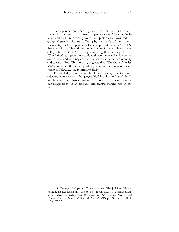I am again not convinced by these two identifications. In fact, I would rather turn the situation up-side-down. Chapters 56:9– 59:21 and 65:1–66:24 clearly voice the opinion of a downtrodden group of people who are suffering by the hands of their rulers. Their antagonists are people in leadership positions (Isa 56:9–12), they are rich (Isa 58), and they are in charge of the temple sacrificial cult (Isa 65:3–5; 66:1–6). These passages together paint a picture of "The Other" as a group of people with economic and cultic power over others, and who neglect their duties towards their community and towards God. This, in turn, suggests that "The Others" in Isa 56–66 constitute the central political, economic, and religious leadership in *Yehud*, i.e., the returning exiles!<sup>[7](#page-47-0)</sup>

To conclude, Rom-Shiloni's book has challenged me to reconsider my own views on the geographical location of Isa 40–66. It has, however, not changed my mind. I hope that we can continue our disagreement in an amicable and fruitful manner also in the future!

<span id="page-47-0"></span><sup>7</sup> L.-S. Tiemeyer, "Hope and Disappointment: The Judahite Critique of the Exilic Leadership in Isaiah 56–66," in R.I. Thelle, T. Stordalen, and M.E. Richardson (eds.), *New Perspectives on Old Testament Prophecy and History. Essays in Honour of Hans M. Barstad* (VTSup, 168; Leiden: Brill, 2015), 57–73.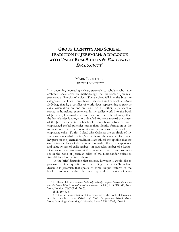# **GROUP IDENTITY AND SCRIBAL TRADITION IN JEREMIAH: A DIALOGUE WITH DALIT ROM-SHILONI'S** EXCLUSIVE INCLUSIVITY**\***

### MARK LEUCHTER TEMPLE UNIVERSITY

It is becoming increasingly clear, especially to scholars who have embraced social-scientific methodology, that the book of Jeremiah preserves a diversity of voices. These voices fall into the bipartite categories that Dalit Rom-Shiloni discusses in her book *Exclusive Inclusivity*, that is, a conflict of worldviews representing a *golah* or exilic orientation on one end and, on the other, a perspective rooted in homeland experience. In my earlier work into the book of Jeremiah, I focused attention more on the exilic ideology than the homelander ideology; in a detailed footnote toward the outset of the Jeremiah chapter in her book, Rom-Shiloni observes that I emphasized scribal polemics rather than identity formation as the motivation for what we encounter in the portions of the book that emphasize exile.<sup>[1](#page-49-0)</sup> To this I plead *Mea Culpa*, as the emphasis of my study was on scribal practice/methods and the evidence for this in key parts of the Jeremiah tradition. I am still of the opinion that the overriding ideology of the book of Jeremiah reflects the experience and value system of exilic scribes—in particular, scribes of a Levite-Deuteronomistic variety—but there is indeed much more room to see in the book of Jeremiah relics of the Homelander voices as Rom-Shiloni has identified them.[2](#page-49-1)

In the brief discussion that follows, however, I would like to propose a few qualifications regarding the exilic/homeland dynamic in Jeremiah that speaks to some unique features of the book's discourse within the more general categories of exil-

<span id="page-49-0"></span><sup>\*</sup> D. Rom-Shiloni, *Exclusive Inclusivity: Identity Conflicts between the Exiles and the People Who Remained (6th–5th Centuries BCE)* (LHBOTS, 543; New York/London: T&T Clark, 2013).

<sup>1</sup> Ibid., 199 n. 5.

<span id="page-49-1"></span><sup>&</sup>lt;sup>2</sup> On the Levite orientation of the redactors of the book of Jeremiah, see M. Leuchter, *The Polemics of Exile in Jeremiah 26–45* (New York/Cambridge: Cambridge University Press, 2008) 105–7, 156–65.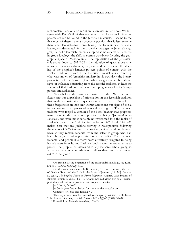ic/homeland tensions Rom-Shiloni addresses in her book. While I agree with Rom-Shiloni that elements of exclusive exilic identity parameters can be found in the Jeremiah materials, it seems to me that most of these materials occupy a position that is less extreme than what Ezekiel—for Rom-Shiloni, the fountainhead of exilic ideology—advocates.[3](#page-50-0) As the pro-exilic passages in Jeremiah suggest, the exilic Jeremiah tradents adopted some aspects of Ezekiel's in-group ideology: the shift in cosmic worldview favoring the geo-graphic space of Mesopotamia,<sup>[4](#page-50-1)</sup> the repudiation of the Jerusalem cult active down to [5](#page-50-2)87 BCE,<sup>5</sup> the adoption of quasi-apocalyptic imagery in oracles addressing Babylon,<sup>[6](#page-50-3)</sup> and perhaps even the shaping of the prophet's laments possess points of contact with the Ezekiel tradition.[7](#page-50-4) Even if the historical Ezekiel was affected by what was known of Jeremiah's ministry in his own day,<sup>[8](#page-50-5)</sup> the literary production of the book of Jeremiah among exilic scribes shows signs of influence emanating from the Ezekiel tradition, at least the version of that tradition that was developing among Ezekiel's supporters and audiences.

Nevertheless, the watershed nature of the 597 exile must factor into our unpacking of information in the Jeremiah tradition that might resonate at a frequency similar to that of Ezekiel, for these frequencies are not only literary accretions but signs of social interaction and attempts to address cultural stigmas. The Jeremiah tradents who forged a version of the book bearing that prophet's name were in the precarious position of being "Johnny-Come-Latelies", and were most certainly not welcomed into the ranks of Ezekiel's group, the "Jehoiachin" exiles of 597. Ezek 14:21–22 makes clear that any Judahite arriving in Mesopotamia following the events of 587/586 are to be avoided, chided, and condemned because they remain separate from the select in-group who had been brought to Mesopotamia ten years earlier. The Jeremiah tradents (and people like them) were effectively relegated to being homelanders in exile, and Ezekiel's book makes no real attempt to present the prophet as interested in any inclusive ethos, going so far as to deny Judahite ethnicity itself to them and other recent exiles to Babylon.<sup>[9](#page-50-6)</sup>

<span id="page-50-0"></span><sup>3</sup> On Ezekiel as the originator of the exilic/golah ideology, see Rom-Shiloni, *Exclusive Inclusivity*, 139.

<span id="page-50-1"></span><sup>4</sup> On this topic see especially K. Schmid, "Nebuchadnezzar, the End of Davidic Rule, and the Exile in the Book of Jeremiah," in M.J. Boda et al. (eds.), *The Prophets Speak on Forced Migration* (Atlanta, GA: Society of Biblical Literature, 2015), 63–76. Konrad Schmid views this as a Persianperiod textual feature, a position that is open to debate.

<sup>5</sup> Jer 7:3–8:2; 34:8–22.

<sup>6</sup> Jer 50–51; see further below for more on this oracular unit.

<sup>7</sup> Compare Jer 15:16 and Ezek 2:9–3:1.

<span id="page-50-6"></span><span id="page-50-5"></span><span id="page-50-4"></span><span id="page-50-3"></span><span id="page-50-2"></span><sup>8</sup> This topic was broached several years ago by William L. Holladay, "Had Ezekiel Known Jeremiah Personally?" *CBQ* 63 (2001), 31–34.

<sup>9</sup> Rom-Shiloni, *Exclusive Inclusivity*, 156–85.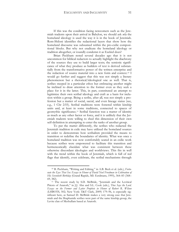If this was the condition facing newcomers such as the Jeremiah tradents upon their arrival in Babylon, we should ask *why* the homeland ideology is used the way it is in the book of Jeremiah. Rom-Shiloni identifies the redactional layers that show how the homeland discourse was subsumed within the pro-exilic compositional blocks. But why not eradicate the homeland ideology or tradition altogether, or roundly condemn it as Ezekiel does?

Brian Peckham noted several decades ago that it is not uncommon for biblical redactors to actually highlight the diachrony of the sources they use to build larger texts; the semiotic significance of what they produce as builders of text is derived substantially from the transformative power of the written enterprise and the redaction of source material into a new form and context.[10](#page-51-0) I would go further and suggest that this was not simply a literary phenomenon but a rhetorical/ideological one as well. That is, scribes steeped in a particular ethos but embracing another might be inclined to draw attention to the former even as they seek a place for it in the latter. This, in part, constituted an attempt to legitimize their own scribal ideology and craft as a basis for inclusion within a group. Being a scribe, after all, was not simply a profession but a matter of social, sacral, and even lineage status (see, e.g., 1 Chr 2:55). Scribal traditions were fostered within kinship units and, at least in some traditions, connected to spaces of geomythic significance.[11](#page-51-1) Scribal function was a matter of identity as much as any other factor or force, and it is unlikely that the Jeremiah tradents were willing to shed this dimension of their own self-definition in attempting to enter the ranks of another group.

To put the matter differently, the scribes who redacted the Jeremiah tradition in exile may have utilized the homeland sources in order to demonstrate how scribalism provided the means to transition or redefine the boundaries of identity. What was once a homeland tradition was now comfortably seated in an exilic work because scribes were empowered to facilitate this transition and hermeneutically elucidate what was consistent between these otherwise discordant ideologies and worldviews. This fits in well with the trend within the book of Jeremiah, which is full of red flags that identify, even celebrate, the scribal mechanisms through

<span id="page-51-0"></span><sup>10</sup> B. Peckham, "Writing and Editing," in A.B. Beck et al. (eds.), *Fortunate the Eyes That See: Essays in Honor of David Noel Freedman in Celebration of His Seventieth Birthday* (Grand Rapids, MI: Eerdmans, 1995), 364–83 (368– 69, 382).

<span id="page-51-1"></span><sup>&</sup>lt;sup>11</sup> The recent study by S.D. McBride, "Jeremiah and the Levitical Priests of Anatoth," in J.J. Ahn and S.L. Cook (eds.), *Thus Says the Lord*. *Essays on the Former and Latter Prophets in Honor of Robert R. Wilson* (LHBOTS, 502; New York: T&T Clark, 2009) 179–96, is especially significant here, as Samuel D. McBride makes a very strong case that Jeremiah and the Shaphanide scribes were part of the same kinship group, the Levite clan of Meshullam based at Anatoth.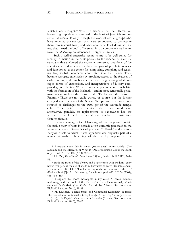which it was wrought.<sup>[12](#page-52-0)</sup> What this means is that the different valences of group identity preserved in the book of Jeremiah are presented as accessible only through the work of scribal groups who have inherited the sources, who were empowered to orchestrate them into material form, and who were capable of doing so in a way that turned the book of Jeremiah into a comprehensive literary trove that *deliberately* countenanced divergent attitudes.

Such a scribal enterprise seems to me to be well suited for identity formation in the exilic period. In the absence of a central sanctuary that anchored the economy, preserved traditions of the ancestors, served as space for the conveying of prophetic oracles, and functioned as the center for composing, compiling and teaching law, scribal documents could step into the breach. Texts became surrogate sanctuaries by providing access to the features of earlier culture, and thus became the basis for governing what concepts, forms of expressions, and interpretations of history comprised group identity. We see this same phenomenon much later with the formation of the Mishnah,<sup>[13](#page-52-1)</sup> and in more temporally proximate works such as the Book of the Twelve and the Book of Psalms.[14](#page-52-2) These are not exilic works, of course, but the former emerged after the loss of the Second Temple and latter were constructed as challenges to the *status quo* of the Aaronide temple cult.[15](#page-52-3) These point to a tradition where texts could form alternatives, parallels, or replacements to sanctuaries like the Jerusalem temple and the social and intellectual institutions fostered therein.

In a recent essay, in fact, I have argued that the point of origin for such a view of texts is actually a text currently preserved in the Jeremiah corpus.[16](#page-52-4) Seraiah's Colopon (Jer 51:59–64a) and the anti-Babylon oracle to which it was appended was originally part of a textual rite—the submerging of the oracle/colophon in the

<span id="page-52-0"></span><sup>12</sup> I expand upon this in much greater detail in my article "The Medium and the Message, or What is 'Deuteronomistic' about the Book of Jeremiah?" *ZAW* 126 (2014), 208–27.

<span id="page-52-1"></span><sup>13</sup> I.R. Zvi, *The Mishnaic Sotah Ritual* (JSJSup; Leiden: Brill, 2012), 144– 54.

<span id="page-52-2"></span><sup>14</sup> Both the Book of the Twelve and Psalter open with wisdom "entry texts" that parallel the use of wisdom discourses as entry rites into sanctuary spaces; see K. Dell, " 'I will solve my riddle to the music of the lyre' (Psalm xlix 4 [5]): A cultic setting for wisdom psalms?" *VT* 54 (2004), 445–458 (455).

<span id="page-52-3"></span><sup>15</sup> I explore this more thoroughly in my essay, "Hosea's Exodus Mythology and the Book of the Twelve," in L.-S. Tiemeyer (ed.), *Priests and Cults in the Book of the Twelve* (ANEM, 14; Atlanta, GA: Society of Biblical Literature, 2016), 31–49.

<span id="page-52-4"></span><sup>16</sup> M. Leuchter, "Sacred Space and Communal Legitimacy in Exile: The Contribution of Seraiah's Colophon (Jer 51:59–64a)," in M.J. Boda et al. (eds.), *The Prophets Speak on Forced Migration* (Atlanta, GA: Society of Biblical Literature, 2015), 77–99.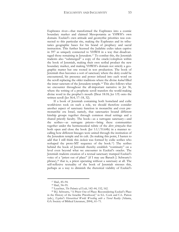Euphrates river—that transformed the Euphrates into a cosmic boundary marker and claimed Mesopotamia as YHWH's own domain. Ezekiel's own attitude and geomythic priorities was connected to this particular rite, making the Euphrates and its tributaries geographic bases for his brand of prophecy and sacral instruction. This further licensed the Judahite exiles taken captive in 597 as uniquely connected to YHWH in a way that disadvantaged those remaining in Jerusalem.[17](#page-53-0) To combat this, the Jeremiah tradents also "submerged" a copy of the oracle/colophon within the book of Jeremiah, making their own scribal product the new boundary marker, and making YHWH's domain not strictly a geographic matter but one rooted in text production. The book of Jeremiah thus becomes a sort of sanctuary where the deity could be encountered, his presence and power infused into each word on the scroll replacing the older traditions where the divine *kabod* filled the inner sanctum of the Jerusalem temple.[18](#page-53-1) This also follows what we encounter throughout the all-important narrative in Jer 36, where the writing of a prophetic scroll transfers the world-making divine word in the prophet's mouth (Deut 18:18; Jer 1:9) onto the written scroll (Jer 36:4, 17–18, 32).

If a book of Jeremiah containing both homeland and exilic worldviews took on such a role, we should therefore consider another aspect of sanctuary function in monarchic and even premonarchic era Israel, namely, that sanctuaries bound different kinship groups together through common ritual settings and a shared priestly faculty. The book—as a surrogate sanctuary—and the scribes—as surrogate priests—bring these communities together under the hermeneutical rubric of the *divre yirmeyahu* that both open and close the book (Jer 1:1//51:64b) in a manner recalling how different lineages were united through the institution of the Jerusalem temple and its cult. (In making this point, I hasten to add that I still think this *inclusio* was formed by exilic scribes who reshaped the proto-MT sequence of the book.[19\)](#page-53-2) The scribes behind the book of Jeremiah thereby establish "continuity" on a level even beyond what we encounter in Ezekiel's oracles. The Jeremiah tradents creation of a textual sanctuary trumped Ezekiel's voice of a "priest out of place" (if I may use Baruch J. Schwartz's phrase),[20](#page-53-3) that is, a priest operating without a sanctuary at all. The self-reflexive textuality of the book of Jeremiah stresses this, perhaps as a way to diminish the rhetorical viability of Ezekiel's

<sup>17</sup> Ibid., 85–94.

<sup>18</sup> Ibid., 94–95.

<sup>19</sup> Leuchter, *The Polemics of Exile*, 142–44, 152, 162.

<span id="page-53-3"></span><span id="page-53-2"></span><span id="page-53-1"></span><span id="page-53-0"></span><sup>20</sup> B.J. Schwartz, "A Priest Out of Place: Reconsidering Ezekiel's Place in the History of the Israelite Priesthood," in S.L. Cook and C.L. Patton (eds.), *Ezekiel's Hierarchical World: Wrestling with a Tiered Reality* (Atlanta, GA: Society of Biblical Literature, 2004), 61–71.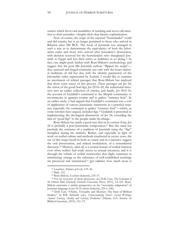oracles which favor oral modalities of teaching and never call attention to their textuality—despite their clear literary sophistication.

Now of course, the trope of the rejected "homelander" could and did remain, but it no longer pertained to those who arrived in Babylon after 586 BCE. The book of Jeremiah was arranged in such a way as to demonstrate the equivalency of both the Jehoiachin exiles and those who arrived after Jerusalem's destruction, with derision reserved for the homelanders who shanghaied Jeremiah to Egypt and lost their status as Judahites in so doing.[21](#page-54-0) In fact, one might push further with Rom-Shiloni's methodology and suggest that the post-586 Jeremiah authors "flipped the script" they annexed and forged continuity not only with the hoary national traditions of old but also with the identity parameters of the Jehoiachin exiles represented by Ezekiel. I would like to examine an assortment of related passages that Rom-Shiloni has analyzed that show some traces of this process. These passages are Jer 24, the vision of the good/bad figs; Jer 29:16–20, the redactional intrusion into an earlier collection of oracles; and finally, Jer 40:9–10, the account of Gedaliah's command to the Mizpah community to recommence in agrarian routine and to gather "summer fruit". In an earlier study, I had argued that Gedaliah's command was a sort of application of various Jeremianic statements in a practical manner, especially the command to gather "summer fruit"—which, as some scholars have argued, included figs.<sup>[22](#page-54-1)</sup> Gedaliah is presented as implementing the ideological dimensions of Jer 24, extending the idea of "good figs" to the people under his charge.

Rom-Shiloni has made a good case that in its current form, Jer 24 is probably a post-Jeremianic composition.[23](#page-54-2) But this need not preclude the existence of a tradition of Jeremiah using the "figs" metaphor during his ministry. Rather, and especially in light of work on scribal culture and methods conducted in recent years, the use of this trope/motif in both an oracle and in a narrative suggest the oral preservation, and indeed modulation, of a remembered discourse.[24](#page-54-3) Memory, after all, is a central feature of scribal function even when scribes had ready access to textual resources, and it is through the vehicle of scribal mnemonics that slight variations in terminology emerge as the substance of well-established teachings are preserved and transmitted.[25](#page-54-4) *Qal waḥômer*, how much more is

<sup>21</sup> Leuchter, *Polemics of Exile*, 135–36.

<sup>22</sup> Ibid., 121.

<sup>23</sup> Rom-Shiloni, *Exclusive Inclusivity*, 233–37.

<span id="page-54-3"></span><span id="page-54-2"></span><span id="page-54-1"></span><span id="page-54-0"></span><sup>24</sup> For an overview of these processes, see D.M. Carr, *The Formation of the Hebrew Bible* (Oxford: Oxford University Press, 2011), 13–101. Rom-Shiloni entertains a similar perspective on the "secondary adaptation" of Jeremian language in Jer 24 (*Exclusive Inclusivity*, 235 n. 106).

<span id="page-54-4"></span><sup>25</sup> D.M. Carr, "Orality, Textuality and Memory: The State of Biblical Studies," in B.B. Schmidt (ed.), *Contextualizing Israel's Sacred Writings: Ancient Literacy, Orality and Literary Production* (Atlanta, GA: Society of Biblical Literature, 2015), 151–73.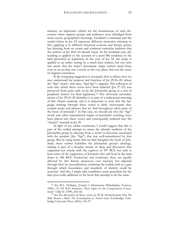memory an important vehicle for the transmission of such discourses when support groups and audiences were dislodged from more secure geographical moorings. Gedaliah's command and the oracle/vision in Jer 24 represent different memories attesting to this, applying it to different historical contexts and literary genres but drawing from an extant and common curricular tradition that the authors of Jer 40:9–10 already knew. In the Gedaliah case, the teaching is applied to the account of a post-586 residence in the land presented as legitimate; in the case of Jer 24, the trope is applied to an earlier setting by a much later tradent, but one who was aware that the trope's Jeremianic origin carried sacral force even in an era that saw a return to the very place that was the cause of original contention.

If the foregoing suggestion is accepted, then it affects how we may understand the purpose and function of Jer 29:16–20, where the "figs" motif—this time, "bad figs"—appears. The collection of texts into which these verses have been redacted (Jer 27–29) was preserved from quite early on by the Jehoiachin group as a sort of prophetic charter for their legitimacy.[26](#page-55-0) The obviously secondary nature of Jer 29:16–20 identifies it as part of a redactional recasting of this charter material, and it is important to note that the language running through these verses is fairly stereotyped: they contain terms and phrases that we find throughout other parts of the book of Jeremiah.[27](#page-55-1) In this case, we should ask why the "figs" motif, and other remembered staples of Jeremiah's teaching, have been placed into these verses and consequently redacted into the "charter" material in Jer 29.

In light of my earlier comments, I would suggest that this is part of the scribal attempt to annex the identity tradition of the Jehoiachin group by drawing from a motif or discourse associated with the prophet (the "figs") that was well-remembered by that group. But by using terms that we find *throughout* the book of Jeremiah, these scribes hybridize the Jehoiachin group's ideology, making it part of a broader stream of ideas and discourses that originated not strictly with the captives of 597 BCE but with at least some of the supporters of Jeremiah who still lived in the land down to 586 BCE. Exclusivity and continuity, then, are equally affected by this literary maneuver—not rejected, but adjusted through their (re-)textualization, rendering the scribal craft as a gate through which boundaries and standards of identity could be accessed. And this, I might add, establishes some precedent for the later post-exilic additions to the book that attempt to do the same.

<span id="page-55-0"></span><sup>26</sup> See W.L. Holladay, *Jeremiah 2* (Hermeneia; Philadelphia: Fortress, 1989), 137–39; B.D. Sommer, "New Light on the Composition of Jeremiah," *CBQ* 61 (1999), 665–66.

<span id="page-55-1"></span><sup>27</sup> See the discussion of these verses by W.M. Schniedewind, *How The Bible Became a Book: The Textualization of Ancient Israel* (Cambridge: Cambridge University Press, 2004), 156–57.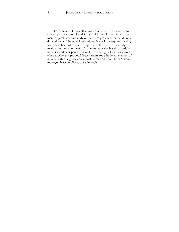To conclude, I hope that my comments here have demonstrated just how useful and insightful I find Rom-Shiloni's treatment of Jeremiah. Her study of the text's growth reveals additional dimensions and broader implications that will be required reading for researchers who wish to approach the issue of identity formation—not only in the 6th–5th centuries as she has discussed, but in earlier and later periods as well. It is the sign of enduring worth when a scholarly proposal leaves room for additional avenues of inquiry within a given conceptual framework, and Rom-Shiloni's monograph accomplishes this admirably.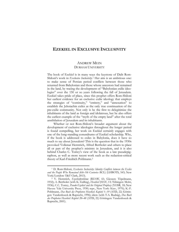# **EZEKIEL IN EXCLUSIVE INCLUSIVITY**

# ANDREW MEIN DURHAM UNIVERSITY

The book of Ezekiel is in many ways the keystone of Dalit Rom-Shiloni's work in *Exclusive Inclusivity*.[1](#page-57-0) Her aim is an ambitious one: to make sense of Persian period conflicts between those who returned from Babylonian and those whose ancestors had remained in the land, by tracing the development of "Babylonian exilic ideologies" over the 150 or so years following the fall of Jerusalem. Ezekiel takes pride of place, since this prophet offers Rom-Shiloni her earliest evidence for an exclusive exilic ideology that employs the strategies of "continuity," "entirety," and "annexation" to establish the Jehoiachin exiles as the only true continuation of the pre-exilic community. Not only is he the first to delegitimize the inhabitants of the land as foreign and idolatrous, but he also offers the earliest example of the "myth of the empty land" after the total annihilation of Jerusalem and its inhabitants.

Whether or not Rom-Shiloni's broader argument about the development of exclusive ideologies throughout the longer period is found compelling, her work on Ezekiel certainly engages with one of the long-standing conundrums of Ezekiel scholarship. Why, if the book is addressed to exiles in Babylonia, does it have so much to say about Jerusalem? This is the question that in the 1930s provoked Volkmar Herntrich, Alfred Bertholet and others to place all or part of the prophet's ministry in Jerusalem, and it is also behind Charles C. Torrey's view of the book as a late pseudepigraphon, as well as more recent work such as the redaction-critical theory of Karl-Friedrich Pohlmann.[2](#page-57-1)

<span id="page-57-0"></span><sup>&</sup>lt;sup>1</sup> D. Rom-Shiloni, *Exclusive Inclusivity: Identity Conflicts between the Exiles and the People Who Remained (6th–5th Centuries BCE)* (LHBOTS, 543; New York/London: T&T Clark, 2013).

<span id="page-57-1"></span><sup>2</sup> V. Herntrich, *Ezechielprobleme* (BZAW, 61; Giessen: Töpelmann, 1932); A. Bertholet (with K. Galling), *Hesekiel* (HAT, 13; Tübingen: Mohr, 1936); C.C. Torrey, *Pseudo-Ezekiel and the Original Prophecy* (YOSR, 18; New Haven: Yale University Press, 1930; repr., New York: Ktav, 1970); K.-F. Pohlmann, *Das Buch des Propheten Hesekiel: Kapitel 1–19* (ATD, 22; Göttingen: Vandenhoeck & Ruprecht, 1996); idem (with T.A. Rudnig), *Das Buch des Propheten Hesekiel: Kapitel 20–48* (ATD, 22; Göttingen: Vandenhoeck & Ruprecht, 2001).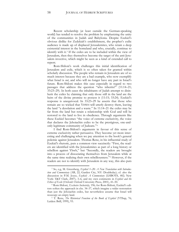Recent scholarship (at least outside the German-speaking world) has tended to resolve the problem by emphasizing the unity of the communities in Judah and Babylonia. Despite Ezekiel's obvious dislike for Zedekiah's establishment, the prophet's exilic audience is made up of displaced Jerusalemites, who retain a deep existential interest in the homeland and who, crucially, continue to identify with it.[3](#page-58-0) If the exiles are to be included within the view of Jerusalem, then they themselves become the target of the anti-Jerusalem invective, which might be seen as a kind of extended call to repent.

Rom-Shiloni's work challenges this initial identification of Jerusalem and exile, which is so often taken for granted within scholarly discussion. The people who remain in Jerusalem are of so much interest because they are a bad example, who now exemplify what Israel is *not*, and who will no longer have any part in Israel's future. Rom-Shiloni makes this case especially in regard to two passages that address the question "who inherits?" (11:14–21; 33:23–29). In both cases the inhabitants of Judah attempt to disinherit the exiles by claiming that only those still in the land are the heirs of the divine promise to possess it (11:15; 33:24). Ezekiel's response is unequivocal. In 33:23–29 he asserts that those who remain are so wicked that YHWH will utterly destroy them, leaving the land "a desolation and a waste." In 11:14–21 the exiles may be far from the land but retain a relationship with God and will be restored to the land to live in obedience. Through arguments like these Ezekiel becomes "the voice of extreme exclusivity, the voice that declares the Jehoiachin exiles to be the prestigious, one-andonly legitimate community of Judeans."[4](#page-58-1)

I find Rom-Shiloni's arguments in favour of this sense of extreme exclusivity rather persuasive. They become yet more interesting and challenging when we pay attention to the book's general polemic against Jerusalem. Thomas Renz, in his influential study of Ezekiel's rhetoric, puts a common view succinctly: "First, the readers are identified with the Jerusalemites as part of a long history or rebellion against Yhwh," but "Secondly, the readers are brought into a process of dissociating themselves from Jerusalem while at the same time realizing their own rebelliousness."[5](#page-58-2) However, if the readers are not to identify with Jerusalem in any way, this also puts

<span id="page-58-0"></span><sup>3</sup> So, e.g, M. Greenberg, *Ezekiel 1–20: A New Translation with Introduction and Commentary* (AB, 22; Garden City, NY: Doubleday); cf. also the discussion in P.M. Joyce, *Ezekiel: A Commentary* (LHBOTS, 482; New York: T&T Clark, 2007), 3–6, and my own comments in *Ezekiel and the Ethics of Exile* (Oxford: Oxford University Press, 2001), 41–50.

<span id="page-58-1"></span><sup>4</sup> Rom-Shiloni, *Exclusive Inclusivity*, 196; for Rom-Shiloni, Ezekiel's editors soften the approach in chs. 34–37, which imagine a wider restoration than just the Jehoiachin exiles, but nevertheless assume that Israel will reoccupy an empty land.

<span id="page-58-2"></span><sup>5</sup> T. Renz, *The Rhetorical Function of the Book of Ezekiel* (VTSup, 76; Leiden: Brill, 1999), 93.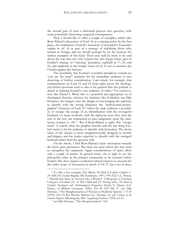the second part of such a rhetorical process into question, with some potentially interesting exegetical consequences.

Here I should like to offer a couple of examples, which take Rom-Shiloni's discussion of Ezek 16 as a starting point. In the first place, she emphasizes Ezekiel's statement of Jerusalem's Canaanite origins in ch. 16 as part of a strategy of redefining those who remain as foreign, and we should perhaps be on the lookout for further examples of this kind. There may well be more to be said about the way that not only Canaan but also Egypt forms part of Ezekiel's strategy of "othering" Jerusalem, explicitly in 17, 20, and 23, and implicitly in the temple vision of ch. 8, not to mention the Oracles against the Nations.

The possibility that Ezekiel's extended metaphors contain no "you are the man!" moment for his immediate audience is also deserving of further consideration. I am struck, for example, that commentators on Ezek 16 and 23 from right across the theological/critical spectrum tend to take it for granted that the polemic is aimed at shaming Ezekiel's own audience of exiles.[6](#page-59-0) For conservatives like Daniel I. Block this is a powerful and appropriate us of theological rhetoric, whereas for feminists like Fokkelien van Dijk Hemmes, the imagery runs the danger of encouraging the audience to identify with the wrong character: the "androcentric-pornographic" character of Ezek 23 "offers the male audience a possibility of escape: the escape of an identification with the revengeful husband, or, more modestly, with the righteous men who, near the end of the text, are summoned to pass judgement upon the adulterous women (v. 45)."[7](#page-59-1) But if Rom-Shiloni is right, this "escape route" is exactly what the prophet intends, and the last thing Ezekiel wants is for his audience to identify with Jerusalem. The shock value of the oracles is more straightforwardly designed to horrify and disgust, and the reader expected to identify with the outraged husband rather than the apostate wife.

On the whole, I find Rom-Shiloni's basic orientation towards the book quite persuasive. But there are areas where she may need to strengthen her argument. Again considerations of space allow only a couple of points. In general terms, she is right to see the Jehoiachin exiles as the primary community to be restored within Ezekiel. She does require a redaction critical solution to account for the wider scope of restoration in much of 34–37, but even in these

<span id="page-59-0"></span><sup>6</sup> To offer a few examples, D.I. Block, *The Book of Ezekiel: Chapters 1– 24* (NICOT; Grand Rapids, MI: Eerdmans, 1997), 459–522; C.L. Patton, " 'Should Our Sister be Treated Like a Whore?': A Response to Feminist Critiques of Ezekiel 23," in M.S. Odell and J.T. Strong (eds.), *The Book of Ezekiel: Theological and Anthropological Perspectives* (SymS, 9; Atlanta, GA: Society of Biblical Literature, 2000), 221–38 (237–38); F. van Dijk Hemmes, "The Metaphorization of Woman in Prophetic Speech," *VT* 43 (1993), 162–70; R.J. Weems, *Battered Love: Marriage, Sex and Violence in the Hebrew Prophets* (Minneapolis, MN: Augsburg Fortress, 1995), 62–67.

<span id="page-59-1"></span><sup>7</sup> van Dijk Hemmes, "The Metaphorization," 169.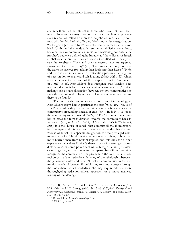chapters there is little interest in those who have not been scattered. However, we may question just how much of a privilege such restoration might be even for the Jehoiachin exiles.<sup>[8](#page-60-0)</sup> By contrast with Jer 24, Ezekiel offers no black and white categorization: "exiles good, Jerusalem bad." Ezekiel's view of human nature is too bleak for this and this tends to lessen the moral distinction, at least, between the two communities: in his commissioning not only is the prophet's audience defined quite broadly as "the children of Israel, a rebellious nation" but they are clearly identified with their Jerusalemite forebears: "they and their ancestors have transgressed against me to this very day" (2:3). The prophet severely criticizes the exiles themselves for "taking their idols into their hearts" (14:6), and there is also in a number of restoration passages the language of a restoration to shame and self-loathing (20:43, 36:31–32), which is rather similar to that used of the escapees from the "mountains of Israel" in 6:9. Rom-Shiloni does recognize that "Ezekiel does not consider his fellow exiles obedient or virtuous either," but in making such a sharp distinction between the two communities she runs the risk of underplaying such elements of continuity as are there to be found.[9](#page-60-1)

The book is also not as consistent in its use of terminology as Rom-Shiloni might like: in particular the term **ישראל** house of Israel" is a rather slippery one: certainly it most often refers to the community surrounding Ezekiel in exile (e.g., 11:14; 14:1–11) or to the community to be restored (36:22; 37:11).[10](#page-60-2) However, in a number of cases the term is directed towards the community back in Jerusalem (e.g., 6:11; 8:6, 10–12, 11:5 cf. also ישראל בני in 6:5, 35:5): it is the "house of Israel" that commits all the abominations in the temple, and this does not sit easily with the idea that the term "house of Israel" is a specific designation for the privileged community of exiles. The distinction seems at times, then, to be rather more blurred than Rom-Shiloni implies, and this calls for further explanation: why does Ezekiel's rhetoric work in seemingly contradictory ways, at some points seeking to bring exile and Jerusalem closer together, at other times further apart? Rom-Shiloni certainly recognizes the complexity of the problem in the way that she does reckon with a later redactional blurring of the relationship between the Jehoiachin exiles and other "Israelite" communities in the restoration oracles. However, if the blurring runs more deeply through the book than she acknowledges, she may require either a more thoroughgoing redaction-critical approach or a more nuanced reading of the ideology.

<span id="page-60-2"></span><span id="page-60-1"></span><span id="page-60-0"></span><sup>8</sup> Cf. B.J. Schwartz, "Ezekiel's Dim View of Israel's Restoration," in M.S. Odell and J.T. Strong (eds.), *The Book of Ezekiel: Theological and Anthropological Perspectives* (SymS, 9; Atlanta, GA: Society of Biblical Literature, 2000), 43–67.

<sup>9</sup> Rom-Shiloni, *Exclusive Inclusivity*, 184.

<sup>10</sup> Cf. ibid., 141–42.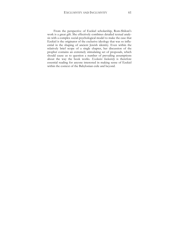From the perspective of Ezekiel scholarship, Rom-Shiloni's work is a great gift. She effectively combines detailed textual analysis with a complex social-psychological model to make the case that Ezekiel is the originator of the exclusive ideology that was so influential in the shaping of ancient Jewish identity. Even within the relatively brief scope of a single chapter, her discussion of the prophet contains an extremely stimulating set of proposals, which should cause us to question a number of prevailing assumptions about the way the book works. *Exclusive Inclusivity* is therefore essential reading for anyone interested in making sense of Ezekiel within the context of the Babylonian exile and beyond.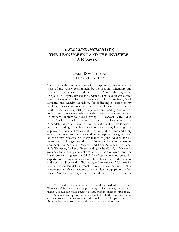# EXCLUSIVE INCLUSIVITY**, THE TRANSPARENT AND THE INVISIBLE: A RESPONSE**

## DALIT ROM-SHILONI TEL AVIV UNIVERSITY

This paper is the written version of my response as presented at the close of the review session held by the section, "Literature and History of the Persian Period" in the SBL Annual Meeting at San Diego, 2014 (slightly revised and updated). This session was a great source of excitement for me. I want to thank the co-chairs, Mark Leuchter and Anselm Hagedorn, for dedicating a session to my book, and for calling together this remarkable team to review my work. It has been a special privilege to be critiqued by each one of my esteemed colleagues, who over the years have become friends. In modern Hebrew we have a saying, אהבה שאינה מקלקלת את *<sup>F</sup>*,*156*השורה <sup>1</sup> which I will paraphrase for our scholarly context as, "Friendship does not have to spoil critical effort." This is what I felt when reading through the various assessments; I have greatly appreciated the analytical capability in the work of each and every one of the reviewers, and their additional inspiring thoughts based on their own research. So, many thanks to John Kessler, for his references to Haggai; to Mark J. Boda for his complementary comments on Zechariah, Malachi, and Ezra–Nehemiah; to Lena-Sofia Tiemeyer, for her different reading of Isa 40–66, to Marvin A. Sweeney for drawing connections to Isaiah son of Amoz and the Isaiah corpus in general; to Mark Leuchter, who contributed his expertise on Jeremiah in addition to his role as chair of the session, and now as editor of this *JHS* issue; and to Andrew Mein, for his perspective on Ezekiel and much beyond—it was Andrew's initial encouragement that caused me to write this monograph in the first place.<sup>2</sup> Not least am I grateful to the editors of *JHS*, Christophe

<sup>&</sup>lt;sup>1</sup> The modern Hebrew saying is based on midrash Gen. Rab., Wayyērā', 55:8: האהבה מקלקלת את השורה; in this context, the lesson is that love should not make a person deviate from the right, the true, road.

<sup>2</sup> Additional and special thanks are due to Dr. Ruth Clements, for her editorial work on the manuscript of the book and on this paper. As ever, Ruth has been my first critical reader, and I am grateful for that.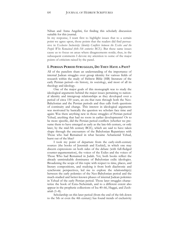Nihan and Anna Angelini, for finding this scholarly discussion suitable for this journal.

In my response, I want first to highlight issues that to a certain point we agree upon, those points that the readers did find persuasive in *Exclusive Inclusivity: Identity Conflicts between the Exiles and the People Who Remained (6th–5th centuries BCE)*. But these same issues cause us to focus on areas where disagreements reside; thus, in the subsequent comments I devote my attention to some of the major points of criticism raised by the panel.

#### **I. PERSIAN PERIOD STRUGGLES, DO THEY HAVE A PAST?**

All of the panelists share an understanding of the importance of internal Judean struggles over group identity for various fields of research within the study of Hebrew Bible (HB) literature of the early Persian period—its history, its sociology, and most of all its theology and ideology.

One of the major goals of this monograph was to study the ideological arguments behind the major issues pertaining to national identity and intergroup relationships as they developed over a period of circa 150 years, an era that runs through both the Neo-Babylonian and the Persian periods and thus calls forth questions of continuity and change. This interest in ideological arguments was motivated by basically the question we scholars face time and again: Was there anything new in those struggles of Persian period Yehud, anything that had no roots in earlier developments? Or to be more specific, did the Persian period conflicts (whether we presume them to have emerged as early as the late-6th century, or only later, by the mid-5th century BCE), which are said to have taken shape through the encounters of the Babylonian Repatriates with Those who had Remained in what became Achamenid Yehud, burst out of the blue?

I took my point of departure from the early-sixth-century sources (the books of Jeremiah and Ezekiel), in which one may discern expressions on both sides of the debate (with full-fledged counter-argumentation), the voices of the Exiles and the voices of Those Who had Remained in Judah. Yet, both books reflect the already unmistakable dominance of Babylonian exilic ideologies. Broadening the scope of this topic with respect to time, places, and literary compositions, and studying it from both diachronic and synchronic perspectives, led me to explore the relationship(s) between the early polemics of the Neo-Babylonian period and the much-studied and better-known phases of internal Judean polemics in Yehud of the early Persian period. Those later struggles characterize the book of Ezra–Nehemiah, and to a different extent also appear in the prophetic collections of Isa 40–66, Haggai, and Zechariah (1–8).

Scholarship on this later period (from the end of the 6th down to the 5th or even the 4th century) has found trends of exclusivity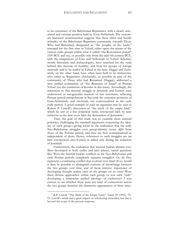to be customary of the Babylonian Repatriates, with a clearly articulated and extreme position held by Ezra–Nehemiah. The customary historical reconstruction suggests that these elitist and hostile attitudes of the Babylonian Repatriate community towards Those Who had Remained, denigrated as "the peoples of the lands," emerged for the first time in Yehud, either upon the return of the various exilic groups within what is called "the Restoration period" (539 BCE and on), or possibly only from the mid-5th century BCE, with the emigrations of Ezra and Nehemiah to Yehud. Scholars, mostly historians and archaeologists, have searched for the *realia* behind this rhetoric of hostility, and look for groups of foreign nationals said to be settled in Yehud at the time. Haggai and Zechariah, on the other hand, have often been held to be inclusivists, who either as Repatriates (Zechariah), or possibly as part of the community of Those who had Remained (Haggai), addressed a now unified community of "the Remnant of Israel" in Persian Yehud (see the comments of Kessler in this issue). Accordingly, the references to this internal struggle in Jeremiah and Ezekiel were understood as recognizable markers of late insertions, reflecting Persian period interpolations in line with the extremist positions of Ezra–Nehemiah, and obviously not contextualized in the early exilic period. A good example of such an argument may be seen in Robert P. Carroll's discussion of "the myth of the empty land," which he saw as a late polemical tactic, retrojected back by later redactors to the time even *before* the destruction of Jerusalem.[3](#page-65-0)

Thus, the goal of this study was to examine these internal polemics, challenging the standard arguments concerning the identity of each group—giving room to the realization that the early Neo-Babylonian struggles over group-identity issues *differ* from those of the Persian period, and thus are best conceptualized as independent of them. Hence, references to such struggles are *not* later retrojections into Ezekiel or added only during the redaction of Jeremiah.

Furthermore, the realization that internal Judean identity conflicts developed in both earlier and later phases, raised questions like: Were the internal Judean conflicts in the Neo-Babylonian and early Persian periods completely separate struggles? Or, do they represent a continuing conflict that evolved over time? If so, would it then be possible to distinguish currents of interchange between the two groups over time, and of more interest, trajectories of developing thought within each of the groups on its own? Were there diverse approaches within each group, or was each "side" developing a somewhat unified ideology of exclusivity? I was curious to see whether there were any kind of connections across the two groups between the distinctive appearances of these inter-

<span id="page-65-0"></span><sup>3</sup> R.P. Carroll, "The Myth of the Empty Land," *Semeia* 59 (1992), 79– 93. Carroll's article had a great impact on scholarship thereafter, but this is beyond the scope of the present response.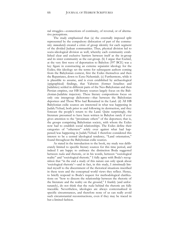nal struggles—connections of continuity, of reversal, or of alternative perceptions.

The study emphasized that (a) the externally imposed split represented by the compulsory dislocation of part of the community *immediately* created a crisis of group identity for each segment of the divided Judean communities. Thus, physical division led to socio-ideological division as well, whereby each community established clear and exclusive barriers between itself as the in-group and its sister community as the out-group. (b) I argue that Ezekiel, at the very first wave of deportation to Babylon (597 BCE) was a key figure in constructing an extreme separatist ideology for the Exiles; this ideology set the terms for subsequent authors coming from the Babylonian context, first the Exiles themselves and then the Repatriates, down to Ezra–Nehemiah. (c) Furthermore, while it is plausible to assume, and is even established by archaeological (epigraphical) findings, that Yahwists (former Israelites and Judahites) settled in different parts of the Neo-Babylonian and then Persian empires, our HB literary sources largely focus on the Babylonian-Judahite trajectory. These literary compositions focus on only one intergroup dichotomy—that between the Babylonian deportees and Those Who had Remained in the Land. (d) All HB Babylonian exilic sources are interested in what was happening in Judah/Yehud, both prior to and following its destruction, and they forecast the people's return to the Land. Quite surprisingly, the literature presumed to have been written in Babylon rarely if ever gives attention to the "proximate others" of the deportees; that is, the groups comprising Babylonian society, with whom the Exiles now had to establish social relationships. The Exiles define their categories of "otherness" solely over against what had happened/was happening in Judah/Yehud. I therefore considered this interest to be a central ideological tendency, "Land orientation," found throughout the Babylonian exilic sources.

As stated in the introduction to the book, my study was deliberately limited to specific literary sources for this time period, and indeed I am happy to embrace the distinction Boda suggested between *realia* and rhetoric, or in his words, between "sociological reality" and "sociological rhetoric." I fully agree with Boda's recognition that "in the end a study of this nature can only speak about 'sociological rhetoric'—and in fact, in this study, I *intentionally* limited myself to the discernment of the rhetorical situations inscribed in these texts and the conceptual world views they reflect. Hence, to briefly respond to Boda's request for methodological clarifications on "how to discern the relationship between the rhetoric of the literature and the reality on the ground," I frankly (and unfortunately), do not think that the *realia* behind the rhetoric are fully traceable. Nevertheless, ideologies are always contextualized in specific circumstances, and therefore none of us can really avoid such circumstantial reconstructions, even if they may be traced in but a limited fashion.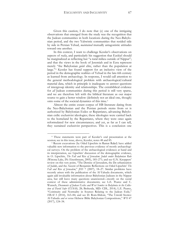Given this caution, I do note that (e) one of the intriguing observations that emerged from the study was the recognition that the Judean communities in both locations during the Neo-Babylonian period, and the two Yahwistic communities that resided side by side in Persian Yehud, *maintained* mutually antagonistic attitudes toward one another.

In this context, I want to challenge Kessler's observations on aspects of *realia*, and particularly his suggestion that Ezekiel should be marginalized as reflecting but "a rural milieu outside of Nippur"; and that the views in the book of Jeremiah and in Ezra represent merely "the Babylonian *golah* elite, rather than the population at large."[4](#page-67-0) Kessler has found support for an inclusive view of the period in the demographic realities of Yehud in the late-6th century as learned from archaeology. In response, I would call attention to the general methodological problem with archaeological/cultural material data, which in principle is inadequate to answer questions of intergroup identity and relationships. The extrabiblical evidence for *all* Judean communities during this period is still very sparse, and we are therefore left with the biblical literature as our major source to gain a better window (definitely not an ideal one, though) onto some of the societal dynamics of this time.[5](#page-67-1)

Almost the entire extant corpus of HB literature dating from the Neo-Babylonian and the Persian periods stems from or is authorized by Babylonian Exiles or Repatriates, advancing Babylonian exilic exclusivist ideologies; these ideologies were carried back to the homeland by the Repatriates, where they were once again reformulated for new circumstances; and yet, as far as I can tell, they sustained exclusivist perspectives. This is a conclusion one

<span id="page-67-0"></span><sup>4</sup> These statements were part of Kessler's oral presentation at the session; see in this issue, above, Kessler, notes 48 and 85.

<span id="page-67-1"></span><sup>5</sup> Recent excavations (by Oded Lipschits in Ramat Raḥel) have added valuable new information to the previous evidence of mostly archaeological surveys. On the problem of the archaeological evidences at hand and its interpretation, see Lipschits' discussion of the demographic evidence, in O. Lipschits, *The Fall and Rise of Jerusalem: Judah under Babylonian Rule* (Winona Lake, IN: Eisenbrauns, 2005), 185–271; and see G.N. Knoppers' review on this very point, "The Demise of Jerusalem, the De-urbanization of Judah, and the Ascent of Benjamin: Reflections on Oded Lipschits' *The Fall and Rise of Jerusalem*," *JHS* 7 (2007), 18–27. Similar problems have recently arisen with the publication of the Al-Yahudu documents, which again add invaluable information about Babylonian Judeans in the Nippur area, but still leave many questions unanswered—mostly on the social context of these administrative documents; see L.E. Pearce and C. Wunsch, *Documents of Judean Exiles and West Semites in Babylonia in the Collection of David Sofer* (CUSAS, 28; Bethesda, MD: CDL, 2014); L.E. Pearce, "Continuity and Normality in Sources Relating to the Judean Exile," *HBAI* 3 (2014), 163–84; and see D. Rom-Shiloni, "The Untold Stories: Al-Yahudu *and or versus* Hebrew Bible Babylonian Compositions," *WO* 47 (2017), 124–34.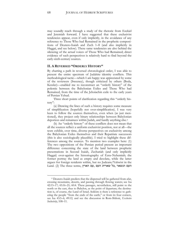may soundly reach through a study of the rhetoric from Ezekiel and Jeremiah forward. I have suggested that these exclusivist tendencies appear, even if only implicitly, in the avoidance of any reference to Those Who had Remained in the prophetic compositions of Deutero-Isaiah and Zech 1–8 (and also implicitly in Haggai, and see below). These same tendencies are also behind the silencing of the actual voices of Those Who had Remained; direct evidence of such perspectives is relatively hard to find beyond the early-sixth-century sources.

#### **II. A REVERSED "ORDERLY HISTORY"**

By charting a path in reversed chronological order, I was able to present the entire spectrum of Judahite identity conflicts. This methodological tactic—which I am happy was appreciated by some of the reviewers (Sweeney), though criticized by others (Boda, Kessler)—enabled me to reconstruct an "orderly history" of the polemic between the Babylonian Exiles and Those Who had Remained, from the time of the Jehoiachin exile to the early years of Persian Yehud.

Three short points of clarification regarding this "orderly history":

(a) Drawing the lines of such a history requires some measure of simplification (hopefully not over-simplification). I was very keen to follow the sources themselves, even when (as just mentioned), they project only binary relationships between Babylonian deportees and remainees within Judah, and hardly anything else.<sup>[6](#page-68-0)</sup>

(b) An "orderly history" of these conflicts does not mean that all the sources reflect a uniform exclusivist position, not at all—the texts exhibit, over time, diverse perspectives on exclusivity among the Babylonian Exiles themselves and their Repatriate successors (this is also sociologically plausible). I tried to highlight these differences among the sources. To mention two examples here: (1) The two oppositions of the Persian period present an important difference concerning the state of the land between prophetic presentations in Second Isaiah, Zechariah (and only implicitly Haggai) over-against the historiography of Ezra–Nehemiah; the former portray the land as empty and desolate, while the latter argues for foreign residents within, but no Judeans/Yahwist in the Land. (2) The three terms, העם הנשאר ,כל שארית העם

<span id="page-68-0"></span><sup>6</sup> Deutero-Isaiah predicts that the dispersed will be gathered from afar, crossing mountains, deserts, and passing through flowing waters; see Isa 42:13–17; 43:16–21; 60:4. These passages, nevertheless, still point to the north or the east, thus to Babylon, as the point of departure; the destination is, of course, the Land of Israel. Seldom is there a reference to gathering the people "from the ends of the earth," or from its four corners, see Isa 43:5–6; 49:12; and see the discussion in Rom-Shiloni, *Exclusive Inclusivity*, 108–11.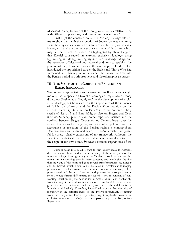(discussed in chapter four of the book), were used as relative terms with different applications, by different groups over time.<sup>[7](#page-69-0)</sup>

Finally, (c) the construction of this "orderly history" allowed me to show that, with the exception of Judean sources stemming from the very earliest stage, all our sources exhibit Babylonian exilic ideologies that share the same exclusivist point of departure, which may be traced back to Ezekiel. As highlighted by Mein, I argued that Ezekiel constructed an extreme, exclusivist ideology, using legitimizing and de-legitimizing arguments of *continuity*, *entirety*, and the *annexation* of historical and national traditions to establish the position of the Jehoiachin Exiles as the sole people of God. Ezekiel introduced the opposition between the Exiles and Those Who had Remained; and this opposition sustained the passage of time into the Persian period in both prophetic and historiographical sources.

### **III. THE SCOPE OF THE CORPUS FOR BABYLONIAN EXILIC IDEOLOGIES**

Two notes of appreciation to Sweeney and to Boda, who "caught me out," so to speak, on two shortcomings of my study. Sweeney did accept Ezekiel as a "key figure," in the development of exclusivist ideology, but he insisted on the importance of the influence of Isaiah son of Amoz and the Davidic-Zion tradition on the sixth–fifth-century literature: on Ezra (e.g., in the notion of "holy seed"; cf. Isa 6:13 and Ezra 9:22), as also on Haggai and Zech 8:20–23. Sweeney puts forward some important insights into the conflicts between Haggai–Zechariah and Deutero-Isaiah over the issues of relations to foreigners, and yet another polemic over the acceptance or rejection of the Persian regime, stemming from Deutero-Isaiah and addressed against Ezra–Nehemiah. I am grateful for these valuable extensions of my framework. Although the aspect of conflict with the Persian rulers was technically outside of the scope of my own study, Sweeney's remarks suggest one of the

<span id="page-69-0"></span><sup>7</sup> Without going into detail, I want to very briefly speak to Kessler's discussion (see above, and in earlier studies) of the conception of the remnant in Haggai and generally in the Twelve. I would accentuate this term's relative meaning even in these contexts, and emphasize the fact that the value of this term had gone several transformations (see notes 9 and 10, below), which I saw to be illustrated in Kessler's wide-ranging presentation. Kessler recognized that in references to the remnant, exile is presupposed and themes of election and preservation also play central roles. I would further differentiate the use of שארית in contexts of confronting Israel among the nations (as in Amos, Micah, and Zephaniah) from its usage in internal contexts, where I consider it to be a term of group identity definition (as in Haggai, and Zechariah, and likewise in Jeremiah and Ezekiel). Therefore, I would still concur that rhetorics of inclusivity in the editorial layers of the Twelve (presumably stemming from the Babylonian Exiles-Repatriates), might implicitly presume an exclusive argument of *entirety* that encompasses only these Babylonian-Repatriates.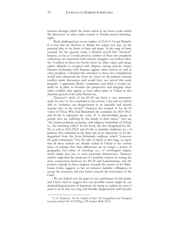avenues through which the issues raised in my book could enrich the discussion of other topics central to Persian period historiography.

Boda challenged me on my neglect of Zech 9–14 and Malachi. It is true that my decision to delimit the corpus was due, on the practical side, to the limits of time and space. At the stage of basic research for the present study, I allowed myself this "shortcut" because, as far as I could perceive, neither of these two prophetic collections are concerned with internal struggles over Judean identity. Conflicts in these two books focus on other topics and antagonists: Malachi is occupied with disputes among priestly circles; Deutero-Zechariah, with disputes against other nations as well as other prophets. I decided that attention to these two compilations would have distracted me from my focus on the primary internal conflict under discussion, and would have not served this study properly. I appreciate Boda's comments, and think it would certainly be in place to broaden the perspective and integrate these other conflicts that appear to have taken place in Yehud in this dramatic period of the early Persian era.

Tiemeyer's study of Isa 40–66 has been a very instructive study for me;[8](#page-70-0) as she concluded in her review, I am sure we will be able to "continue our disagreement in an amicable and fruitful manner also in the future!" Tiemeyer has located in Isa 40–55 voices of Those Who had Remained; she considers Isa 56:9–59:21 and 65–66 to represent the voice of "a downtrodden group of people who are suffering by the hands of their rulers," who are "the central political, economic, and religious leadership of Yehud, i.e., the returning exiles!" In her book, she also designated Isa 40– 55, as well as 56:9–59:21 and 65–66, as Judahite traditions (i.e., of Judeans who remained in the land and never deported), to be distinguished from the Ezra–Nehemiah tradition, which "concerns the *golah* community." For the sake of clarity at this stage, we agree that all these authors are already settled in Yehud at the various times of writing; thus their differences are no longer a matter of geography, but rather of sociology (i.e., of sociological origins, which might give rise to socio-economic distinctions). Tiemeyer further supported the proposal of a Judahite context by noting the close connections between Isa 40–55 and Lamentations; and the positive attitude in these chapters towards the return of the Babylonian Exiles suggests to her an inclusive Judahite willingness to accept the returnees and join forces towards the restoration of the Land.

We are indeed very far apart in our conclusions on this point, and I have tried to suggest that one possible reason might be our methodological points of departure. In trying to explain my own, I want to tie in also my long and friendly disagreement with Kessler

<span id="page-70-0"></span><sup>8</sup> L.-S. Tiemeyer, *For the Comfort of Zion: The Geographical and Theological Location of Isaiah 40–55* (VTSup, 139; Leiden: Brill, 2011).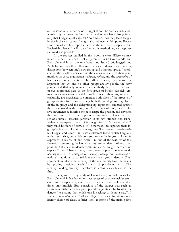on the issue of whether or not Haggai should be seen as inclusivist. Kessler rightly notes (as Sara Japhet and others have also pointed out) that Haggai speaks against "no others"; thus, he places Haggai in the inclusivist camp. I might also adduce at this point Boda's short remarks in his response here on the inclusive perspectives in Zechariah. Hence, I will try to frame this methodological response as broadly as possible.

In the sources studied in this book, a clear difference may indeed be seen between Ezekiel, Jeremiah in its two strands, and Ezra–Nehemiah, on the one hand, and Isa 40–66, Haggai, and Zech 1–8 on the other. Utilizing strategies of division and drawing distinctions between one's own group and other groups, all "speakers" (authors, other voices) base the exclusive status of their communities on three arguments: *continuity*, *entirety*, and the *annexation* of historical-national traditions. In different ways, they make the argument that *we* (and no other group) are *the* people, the *entire* people; and that only *we* inherit and embody the shared traditions of our communal past. In the first group of books (Ezekiel, Jeremiah in its two strands, and Ezra–Nehemiah), these arguments of exclusivity are marshaled to construct both sides of the process of group identity formation, shaping both the self-legitimizing claims of the in-group and the delegitimizing arguments directed against those designated as the out-group. On the axis of time, these exclusive arguments re-inscribe the past, shape the present, and envision the future of each of the opposing communities. Hence, the first set of sources—Ezekiel, Jeremiah in its two strands, and Ezra– Nehemiah—express the explicit antagonism of "us versus them"; they build borders of *division*, of "otherness," to separate their ingroup(s) from an illegitimate out-group. The second set—Isa 40– 66, Haggai, and Zech 1–8—uses a different tactic, which I argue is no less exclusive, but which concentrates on the in-group alone. As expressed in Isa 40–66 and Zech 1–8, one of the features of this rhetoric is presenting the land as empty; empty, that is, of any other possible Yahwistic residents/communities. Although there are no explicit "others" battled here, these three prophetic collections do use argumentative strategies of *continuity*, *entirety*, and *annexation* of national traditions to consolidate their own group identity. Their arguments reinforce the identity of the community from the inside by ignoring outsiders—such "others" simply do not exist. This identity-building strategy, therefore, is almost as exclusive as the first.

I recognize that my study of Ezekiel and Jeremiah, as well as Ezra–Nehemiah, has honed my awareness of such exclusivist strategies and perspectives, even where they are less explicit and at times only implicit. But, conscious of the danger that such an awareness might become a presupposition (as stated by Kessler, the danger "to assume that which one is seeking to demonstrate"), I studied Isa 40–66, Zech 1–8 and Haggai with careful attention to literary-rhetorical clues. A brief look at some of the main points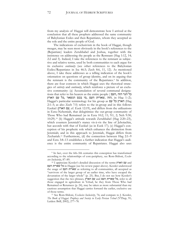from my analysis of Haggai will demonstrate how I arrived at the conclusion that all these prophets addressed the same community of Babylonian Exiles and then Repatriates, whom they accepted as the sole and the entire people of God.

The indications of exclusivism in the book of Haggai, though meager, may be seen most obviously in the book's references to the (Repatriate) leaders Zerubbabel and Joshua, together with the insistence on addressing the people as the Remnant (Hag 1:12, 14; 2:2 and 3). Indeed, I take the references to the remnant as subjective and relative terms, used by both communities to each argue for its exclusive *continuity* (see other references to the Babylonian Exiles/Repatriates in Isa 46:3; Zech 8:6, 11, 12). As mentioned above, I take these addresses as a telling indication of the book's orientation on questions of group identity, and on its arguing that the remnant is the community of the Repatriates.<sup>[9](#page-72-0)</sup> In addition, there are four contexts in which Haggai uses the rhetorical strategies of *entirety* and *continuity*, which reinforce a picture of an exclusive community: (a) Accumulation of several communal designations that refer to his hearers as the entire people ( העם, הזה הגוי כל ;(2–1 Hag in ,הזה ,שארית העם ,מי בכם הנשאר ,כל עם הארץ Haggai's particular terminology for his group as הארץ כל עם 2:1–5; as also Zech 7:5) refers to the in-group and in this follows Ezekiel (עם הארץ), cf. Ezek 12:19), and differs from the utilizations in Ezra–Nehemiah, that delegitimize the out-group community of Those Who had Remained (as in Ezra 10:2, 11; 9:1, 2; Neh 9:30; 10:29).<sup>10</sup> (b) Haggai's attitude towards Zerubbabel (Hag 2:20-23), which counters Jeremiah's stance vis-à-vis the line of Jehoiachin, but accords with that of Ezekiel (as in Ezek 17); (c) Haggai's conception of his prophetic role which enhances the distinction from Jeremiah; and in this approach to Jeremiah, Haggai differs from Zechariah.<sup>11</sup> Furthermore, (d) the connection between Hag 2:1-9 and Ezra 3:8–13 establishes a further indication that Haggai's audience is the entire community of Repatriates. Haggai also uses

 $\overline{a}$ 

<span id="page-72-0"></span><sup>&</sup>lt;sup>9</sup> In fact, over the 6th–5th centuries this conception has transformed according to the relationships of core-periphery, see Rom-Shiloni, *Exclusive Inclusivity*, 87–89.

<sup>10</sup> I appreciate Kessler's detailed discussion of the terms הארץ עם and העם שארית כל in Haggai (see his review paper above). Kessler understood the usage of העם שארית as referring to all communities, all accepted as "survivors of the larger group of an earlier time, who have escaped the devastation of the larger whole" (p. 25). But, I do not see how Kessler's suggestion that the two phrases, כל שארית העם and עם הארץ, refer to all those engaged in agriculture in Yehud, be they from Those Who had Remained or Returnees (p. 24), may be taken as more substantial than my cautious assumption that Haggai carries forward the earlier, exclusive use of those terms.

<sup>11</sup> See Rom-Shiloni, *Exclusive Inclusivity*, 76; and compare to J. Kessler, *The Book of Haggai: Prophecy and Society in Early Persian Yehud* (VTSup, 91; Leiden: Brill, 2002), 277–78.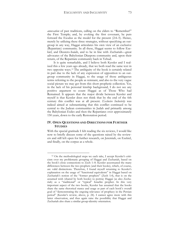*annexation* of past traditions, calling on the elders to "Remember!" the First Temple; and, by evoking the first covenant, he puts forward the Exodus as the model for the present (2:4–5). Hence, merely by utilizing these three strategies, without specifying an outgroup in any way, Haggai articulates his own view of an exclusive (Repatriate) community. In all these, Haggai seems to follow Ezekiel, and Deutero-Isaiah, and to be in line with Zechariah—great advocates of the Babylonian Diaspora community and, upon their return, of the Repatriate community back in Yehud.

It is quite remarkable, and I believe both Kessler and I realized this a few years ago already, that we both read the same text in two opposite ways.[12](#page-73-0) The ambiguity of the book is certainly related in part due to the lack of any expression of opposition to an outgroup community in Haggai, to the usage of those ambiguous terms referring to the people as remnant, and also to the very vague social picture we may get from this short prophetic collection. Yet, in the lack of his personal kinship background, I do not see any positive argument to count Haggai as of Those Who had Remained. It appears that the major divide between Kessler and myself is that Kessler does not think that by the end of the 6th century this conflict was at all present. *Exclusive Inclusivity* was indeed aimed at substantiating that this conflict continued to be central to the Judean communities in Judah and primarily among the Babylonian Exiles and then the Repatriates over approximately 150 years, down to the early Restoration period.

## **IV. OPEN QUESTIONS AND DIRECTIONS FOR FURTHER STUDIES**

With the special gratitude I felt reading the six reviews, I would like now to briefly discuss some of the questions raised by the reviewers and still left open for further research, on Jeremiah, on Ezekiel, and finally, on the corpus as a whole.

 $\overline{a}$ 

<span id="page-73-0"></span><sup>12</sup> On the methodological steps we each take, I accept Kessler's criticism over my problematic grouping of Haggai and Zechariah, based on the book's close connections to Zech 1–8. Kessler accentuated the many differences between the two prophets (and their books), which, of course, are valid distinctions. Therefore, I found myself returning to Kessler's explanation on the usage of "functional equivalents" in Haggai based on Zechariah's notion of the "former prophets" (Zech 1:4), that is on the assumed wish (shared by both books) to portray Haggai (as also Zechariah) as a "traditional" or "typical" Israelite prophet. In this very important aspect of the two books, Kessler has assumed that the books share the same rhetorical stance and usage as part of each book's overall goal of "demonstrating the ongoing relevance of prophecy in the Persian period" (Kessler's review, above, p. 24). I cannot agree more with this latter observation, and thus again raise the possibility that Haggai and Zechariah also share a similar group-identity orientation.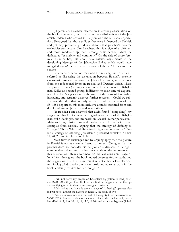(1) Jeremiah: Leuchter offered an interesting observation on the book of Jeremiah, particularly on the scribal activity of the Jeremiah tradents who arrived in Babylon with the 587/586 deportation. He argued that those exilic scribes were influenced by Ezekiel; and yet they presumably did not absorb that prophet's extreme exclusivist perspective. For Leuchter, this is a sign of a different and more moderate approach among exilic scribes, which he defined as "exclusivity and continuity." On the side of those Jeremian exilic scribes, this would have entailed adjustments to the developing ideology of the Jehoiachin Exiles which would have mitigated *against* the extremist rejection of the 597 Exiles and the scribes.

Leuchter's observation may add the missing link to which I referred in discussing the disjunction between Ezekiel's extreme exclusivist position, favoring the Jehoiachin Exiles, in difference from the redactional layers in Ezekiel and Deutero-Isaiah. These Babylonian voices (of prophets and redactors) address the Babylonian Exiles as a united group, indifferent to their time of deportation. Leuchter's suggestion for the study of the book of Jeremiah is intriguing, and certainly deserves further research.[13](#page-74-0) Could we substantiate the idea that as early as the arrival in Babylon of the 587/586 deportees, this more inclusive attitude stemmed from and developed among Jeremiah tradents/scribes?

(2) Ezekiel: I am delighted that Mein found "compelling" my suggestion that Ezekiel was the original constructor of the Babylonian exilic ideologies, and my work on Ezekiel "rather persuasive." Mein took my distinctions and pushed them further with other examples from Ezekiel, arguing that the strategy of defining as "foreign" Those Who had Remained might also operate in "Ezekiel's strategy of 'othering' Jerusalem," presented explicitly in Ezek 17, 20, 23, and implicitly in ch. 8.[14](#page-74-1)

Mein further challenged me by arguing aptly that the picture in Ezekiel is not as clean as I tend to present. We agree that the prophet does not consider his Babylonian addressees to be righteous in themselves, and further concur about the importance of this observation. Mein's comment on the less consistent usage of בית ישראל throughout the book indeed deserves further study, and the suggestion that this usage might reflect either a less clear-cut terminological distinction, or more profound editorial work in the book, certainly requires further thought.<sup>15</sup>

 $\overline{a}$ 

<span id="page-74-0"></span><sup>13</sup> I will not delve any deeper on Leuchter's suggestion to read Jer 24 and 29:16–20 with Jer 40:9–10. I did not find the suggestion that the figs are a unifying motif in those three passages convincing.

<span id="page-74-1"></span><sup>14</sup> Mein points out that this same strategy of "othering" operates also in prophecies against the nations in Ezekiel, see Mein, above.

<sup>&</sup>lt;sup>15</sup> Yet, it deserves mention that out of the eighty-three occurrences of ישראל בית in Ezekiel, only seven seem to refer to the residents of Jerusalem (Ezek 6:11; 8: 6, 10, 11, 12; 11:5; 12:10); and six are ambiguous (4:4–5;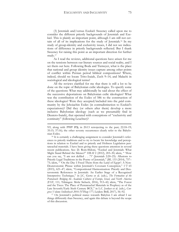(3) Jeremiah and/versus Ezekiel: Sweeney called upon me to consider the different priestly backgrounds of Jeremiah and Ezekiel. This is plainly an important point, although I am still not certain of all of its implications for the study of Jeremiah.[16](#page-75-0) In my study of group-identity and exclusivity issues, I did not see indications of difference in priestly backgrounds reflected. But I thank Sweeney for raising this point as an important direction for further study.[17](#page-75-1)

As I read the reviews, additional questions have arisen for me on the tensions between our literary sources and social reality, and I set them out here. Following Boda and Tiemeyer, what is the place that national and group identity issues capture among other points of conflict within Persian period biblical compositions? Where, indeed, should we locate Trito-Isaiah, Zech 9–14, and Malachi in sociological and ideological terms?

All the reviews clarified for me that there is still a lot to be done on the topic of Babylonian exilic ideologies. To specify some of the questions: What may additionally be said about the effect of the successive deportations on Babylonian exilic ideologies? What was the contribution of the Exiles of 586 to the construction of these ideologies? Were they accepted/included into the *golah* community by the Jehoiachin Exiles (in contradistinction to Ezekiel's expectations)? Did they (or others after them) develop a more inclusive Babylonian ideology (such as we presumably find in Deutero-Isaiah), that operated with conceptions of "exclusivity and continuity" (following Leuchter)?

 $\overline{a}$ 

<span id="page-75-1"></span><sup>17</sup> On Jeremiah's political stance towards Babylon I am afraid I see things differently than Sweeney, and again this debate is beyond the scope of this discussion.

<sup>9:9,</sup> along with יבית יהודה; in 20:13 retrojecting to the past; 22:18-19; 35:15; 37:16); the other seventy occurrences clearly refer to the Babylonian Exiles.

<span id="page-75-0"></span><sup>&</sup>lt;sup>16</sup> It is certainly a challenging assignment to consider Jeremiah's references to priestly traditions and to try to locate his knowledge and perceptions in relation to Ezekiel and to priestly and Holiness Legislation pentateuchal materials. I have been giving these questions attention in several recent publications. See: D. Rom-Shiloni, "Ezekiel and Jeremiah: What Might Stand Behind the Silence?" *HBAI* 2 (2012), 203–30; idem, " 'How can you say, "I am not defiled . . ."?' (Jeremiah 2:20–25): Allusions to Priestly Legal Traditions in the Poetry of Jeremiah," *JBL* 133 (2014), 757– 75; idem, " 'On the Day I Freed Them from the Land of Egypt': A Non-Deuteronomic Phrase within Jeremiah's Covenant Conception," *VT* 65 (2015), 621–47; idem, "Compositional Harmonization: Priestly and Deuteronomic References in Jeremiah: An Earlier Stage of a Recognized Interpretive Technique," in J.C. Gertz et al. (eds.), *The Formation of the Pentateuch: Bridging the Academic Cultures of Europe, Israel, and North America* (FAT, 111; Tübingen: Mohr Siebeck, 2016), 913–42; idem, "The Forest and the Trees: The Place of Pentateuchal Materials in Prophecy as of the Late Seventh/Early Sixth Century BCE," in L.C. Jonker et al. (eds.), *Congress Volume Stellenbosch 2016* (VTSup 177; Leiden: Brill, 2017), 56–92.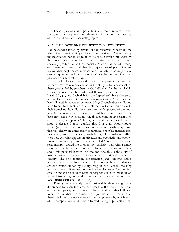These questions and possibly many more require further study, and I am happy to note them here in the hope of inspiring others to address these fascinating topics.

## **V. A FINAL NOTE ON INCLUSIVITY AND EXCLUSIVITY**

The hesitations raised by several of the reviewers concerning the plausibility of maintaining exclusivist perspectives in Yehud during the Restoration period are to at least a certain extent influenced by the modern western notion that exclusivist perspectives are not societally productive, and not socially "nice." But, as with many other matters, I am afraid that these questions of plausibility are tricky; what might seem implausible or unlikely to us might have seemed quite normal (and normative) to the communities that produced our biblical writings.

I would like to broaden this point to explore a question that bothered me from very early on in my study: Why would each of these groups, led by prophets of God (Ezekiel for the Jehoiachin Exiles; Jeremiah for Those who had Remained; and then Deutero-Isaiah, Haggai, and Zechariah for the Repatriates), have chosen to re-establish their identities in such exclusivist ways? Since they had been divided by a *human* emperor, King Nebuchadrezzar II, and were forced by him either to walk all the way to Babylon or stay in their homeland, how did they lose their unifying sense of community? Subsequently, when those who had been forced away came back from exile, why could not the divided community regain their sense of unity as a people? Having been working on these texts for about a decade, I must confess that I have no good enough answer(s) to these questions. From my modern Jewish perspective, this was clearly an unnecessary separation, a terrible internal conflict; a very sorrowful era in Jewish history. The profound difference between what appears in HB texts and twentieth- and twentyfirst-century conceptions of what is called "Israel and Diaspora relationships" caused me to open my scholarly study with a family story. As I explicitly noted (in the Preface), there is nothing special about this personal history—on the contrary, this is the story of many thousands of Jewish families worldwide during the twentieth century. The one common denominator Jews currently share, whether they live in Israel or in the Diaspora is the sense that we are one nation, united by history, religion, the Tanakh, the long history of Jewish literature, and the Hebrew language. We can disagree on most of our very basic conceptions (not to mention on political issues. . .), but we do recognize the fact that "we are kins $m$ men" אנשים אחים אנחנו (Gen 13:8).

Throughout this study I was intrigued by these recognizable differences between the ideas expressed in the ancient texts and our modern perceptions of Jewish identity; and with that I allowed myself to do what I love most, to enjoy the ancient texts, to let them speak and themselves reveal the components by which each of the compositions studied have framed their group identity. I am